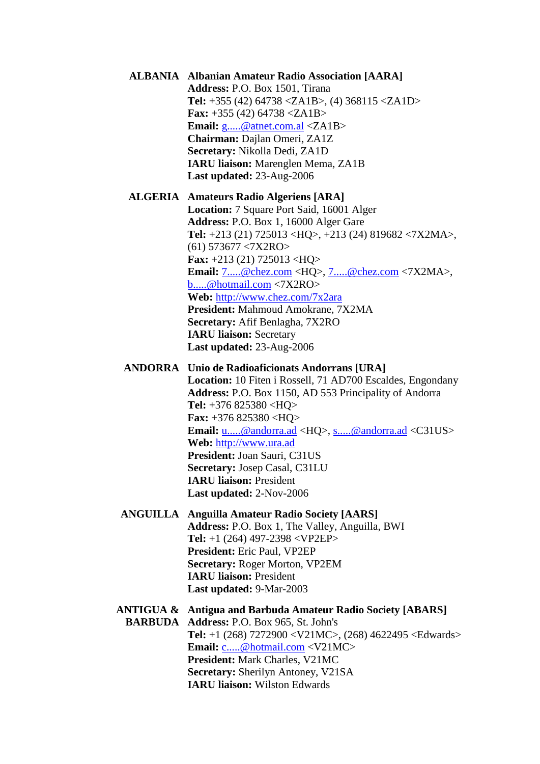**ALBANIA Albanian Amateur Radio Association [AARA] Address:** P.O. Box 1501, Tirana **Tel:** +355 (42) 64738 <ZA1B>, (4) 368115 <ZA1D> **Fax:** +355 (42) 64738 <ZA1B> **Email:** [g.....@atnet.com.al](javascript:return%20false;) <ZA1B> **Chairman:** Dajlan Omeri, ZA1Z **Secretary:** Nikolla Dedi, ZA1D **IARU liaison:** Marenglen Mema, ZA1B **Last updated:** 23-Aug-2006

**ALGERIA Amateurs Radio Algeriens [ARA] Location:** 7 Square Port Said, 16001 Alger **Address:** P.O. Box 1, 16000 Alger Gare **Tel:** +213 (21) 725013 <HQ>, +213 (24) 819682 <7X2MA>, (61) 573677 <7X2RO> **Fax:** +213 (21) 725013 <HQ> **Email:** [7.....@chez.com](javascript:return%20false;) <HQ>, [7.....@chez.com](javascript:return%20false;) <7X2MA>, [b.....@hotmail.com](javascript:return%20false;) <7X2RO> **Web:** <http://www.chez.com/7x2ara> **President:** Mahmoud Amokrane, 7X2MA **Secretary:** Afif Benlagha, 7X2RO **IARU liaison:** Secretary **Last updated:** 23-Aug-2006

**ANDORRA Unio de Radioaficionats Andorrans [URA]**

**Location:** 10 Fiten i Rossell, 71 AD700 Escaldes, Engondany **Address:** P.O. Box 1150, AD 553 Principality of Andorra **Tel:** +376 825380 <HQ> **Fax:** +376 825380 <HQ> **Email:** [u.....@andorra.ad](javascript:return%20false;) <HQ>, [s.....@andorra.ad](javascript:return%20false;) <C31US> **Web:** [http://www.ura.ad](http://www.ura.ad/) **President:** Joan Sauri, C31US **Secretary:** Josep Casal, C31LU **IARU liaison:** President **Last updated:** 2-Nov-2006

**ANGUILLA Anguilla Amateur Radio Society [AARS] Address:** P.O. Box 1, The Valley, Anguilla, BWI **Tel:** +1 (264) 497-2398 <VP2EP> **President:** Eric Paul, VP2EP **Secretary:** Roger Morton, VP2EM **IARU liaison:** President **Last updated:** 9-Mar-2003

**ANTIGUA & Antigua and Barbuda Amateur Radio Society [ABARS] BARBUDA Address:** P.O. Box 965, St. John's **Tel:** +1 (268) 7272900 <V21MC>, (268) 4622495 <Edwards> **Email:** [c.....@hotmail.com](javascript:return%20false;) <V21MC> **President:** Mark Charles, V21MC **Secretary:** Sherilyn Antoney, V21SA **IARU liaison:** Wilston Edwards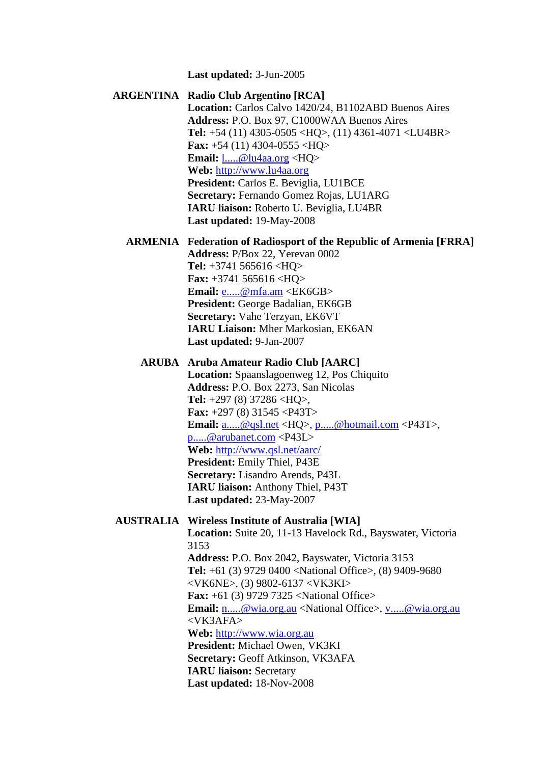**Last updated:** 3-Jun-2005

# **ARGENTINA Radio Club Argentino [RCA] Location:** Carlos Calvo 1420/24, B1102ABD Buenos Aires **Address:** P.O. Box 97, C1000WAA Buenos Aires **Tel:** +54 (11) 4305-0505 <HQ>, (11) 4361-4071 <LU4BR> **Fax:** +54 (11) 4304-0555 <HQ> **Email:** [l.....@lu4aa.org](javascript:return%20false;) <HQ> **Web:** [http://www.lu4aa.org](http://www.lu4aa.org/) **President:** Carlos E. Beviglia, LU1BCE **Secretary:** Fernando Gomez Rojas, LU1ARG **IARU liaison:** Roberto U. Beviglia, LU4BR **Last updated:** 19-May-2008

#### **ARMENIA Federation of Radiosport of the Republic of Armenia [FRRA] Address:** P/Box 22, Yerevan 0002

**Tel:** +3741 565616 <HQ> **Fax:** +3741 565616 <HQ> **Email:** <u>[e.....@mfa.am](javascript:return%20false;)</u> <EK6GB> **President:** George Badalian, EK6GB **Secretary:** Vahe Terzyan, EK6VT **IARU Liaison:** Mher Markosian, EK6AN **Last updated:** 9-Jan-2007

#### **ARUBA Aruba Amateur Radio Club [AARC]**

**Location:** Spaanslagoenweg 12, Pos Chiquito **Address:** P.O. Box 2273, San Nicolas **Tel:** +297 (8) 37286 <HQ>, **Fax:** +297 (8) 31545 <P43T> **Email:** [a.....@qsl.net](javascript:return%20false;) <HQ>, [p.....@hotmail.com](javascript:return%20false;) <P43T>, [p.....@arubanet.com](javascript:return%20false;) <P43L> **Web:** <http://www.qsl.net/aarc/> **President:** Emily Thiel, P43E **Secretary:** Lisandro Arends, P43L **IARU liaison:** Anthony Thiel, P43T **Last updated:** 23-May-2007

#### **AUSTRALIA Wireless Institute of Australia [WIA]**

**Location:** Suite 20, 11-13 Havelock Rd., Bayswater, Victoria 3153 **Address:** P.O. Box 2042, Bayswater, Victoria 3153 **Tel:** +61 (3) 9729 0400 <National Office>, (8) 9409-9680 <VK6NE>, (3) 9802-6137 <VK3KI> **Fax:** +61 (3) 9729 7325 <National Office> **Email:** [n.....@wia.org.au](javascript:return%20false;) <National Office>, [v.....@wia.org.au](javascript:return%20false;) <VK3AFA> **Web:** [http://www.wia.org.au](http://www.wia.org.au/) **President:** Michael Owen, VK3KI **Secretary:** Geoff Atkinson, VK3AFA **IARU liaison:** Secretary **Last updated:** 18-Nov-2008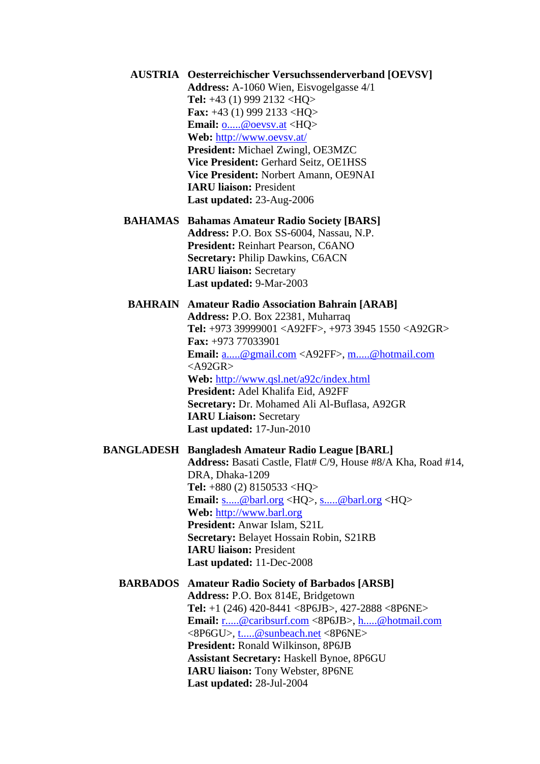- **AUSTRIA Oesterreichischer Versuchssenderverband [OEVSV] Address:** A-1060 Wien, Eisvogelgasse 4/1 **Tel:** +43 (1) 999 2132 <HQ> **Fax:** +43 (1) 999 2133 <HQ> **Email:** [o.....@oevsv.at](javascript:return%20false;) <HQ> **Web:** <http://www.oevsv.at/> **President:** Michael Zwingl, OE3MZC **Vice President:** Gerhard Seitz, OE1HSS **Vice President:** Norbert Amann, OE9NAI **IARU liaison:** President **Last updated:** 23-Aug-2006
- **BAHAMAS Bahamas Amateur Radio Society [BARS] Address:** P.O. Box SS-6004, Nassau, N.P. **President:** Reinhart Pearson, C6ANO **Secretary:** Philip Dawkins, C6ACN **IARU liaison:** Secretary **Last updated:** 9-Mar-2003

**BAHRAIN Amateur Radio Association Bahrain [ARAB] Address:** P.O. Box 22381, Muharraq **Tel:** +973 39999001 <A92FF>, +973 3945 1550 <A92GR> **Fax:** +973 77033901 **Email:** [a.....@gmail.com](javascript:return%20false;) <A92FF>, [m.....@hotmail.com](javascript:return%20false;)  $<$ A92GR $>$ **Web:** <http://www.qsl.net/a92c/index.html> **President:** Adel Khalifa Eid, A92FF **Secretary:** Dr. Mohamed Ali Al-Buflasa, A92GR **IARU Liaison:** Secretary **Last updated:** 17-Jun-2010

#### **BANGLADESH Bangladesh Amateur Radio League [BARL]**

**Address:** Basati Castle, Flat# C/9, House #8/A Kha, Road #14, DRA, Dhaka-1209 **Tel:** +880 (2) 8150533 <HQ> **Email:** [s.....@barl.org](javascript:return%20false;) <HQ>, [s.....@barl.org](javascript:return%20false;) <HQ> **Web:** [http://www.barl.org](http://www.barl.org/) **President:** Anwar Islam, S21L **Secretary:** Belayet Hossain Robin, S21RB **IARU liaison:** President **Last updated:** 11-Dec-2008

## **BARBADOS Amateur Radio Society of Barbados [ARSB] Address:** P.O. Box 814E, Bridgetown **Tel:** +1 (246) 420-8441 <8P6JB>, 427-2888 <8P6NE> **Email:** [r.....@caribsurf.com](javascript:return%20false;) <8P6JB>, [h.....@hotmail.com](javascript:return%20false;) <8P6GU>, [t.....@sunbeach.net](javascript:return%20false;) <8P6NE> **President:** Ronald Wilkinson, 8P6JB **Assistant Secretary:** Haskell Bynoe, 8P6GU **IARU liaison:** Tony Webster, 8P6NE **Last updated:** 28-Jul-2004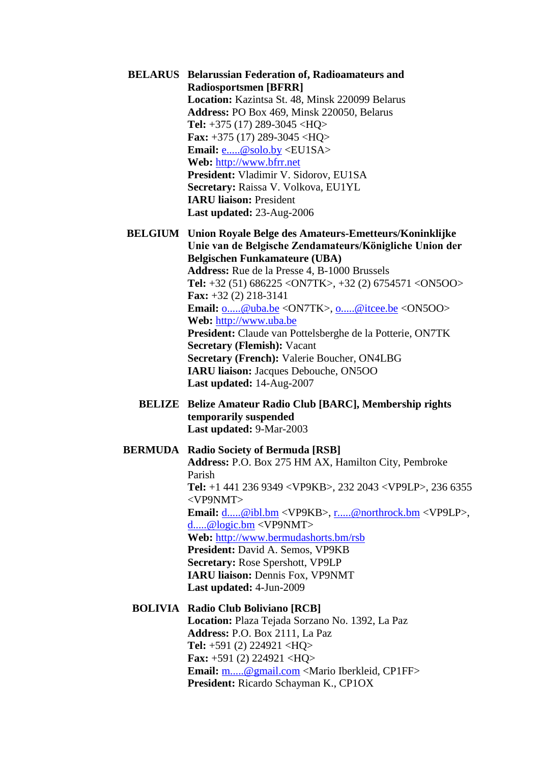- **BELARUS Belarussian Federation of, Radioamateurs and Radiosportsmen [BFRR] Location:** Kazintsa St. 48, Minsk 220099 Belarus **Address:** PO Box 469, Minsk 220050, Belarus **Tel:** +375 (17) 289-3045 <HQ> **Fax:** +375 (17) 289-3045 <HQ> **Email:** [e.....@solo.by](javascript:return%20false;) <EU1SA> **Web:** [http://www.bfrr.net](http://www.bfrr.net/) **President:** Vladimir V. Sidorov, EU1SA **Secretary:** Raissa V. Volkova, EU1YL **IARU liaison:** President **Last updated:** 23-Aug-2006
- **BELGIUM Union Royale Belge des Amateurs-Emetteurs/Koninklijke Unie van de Belgische Zendamateurs/Königliche Union der Belgischen Funkamateure (UBA) Address:** Rue de la Presse 4, B-1000 Brussels **Tel:** +32 (51) 686225 <ON7TK>, +32 (2) 6754571 <ON5OO> **Fax:** +32 (2) 218-3141 **Email:** [o.....@uba.be](javascript:return%20false;) <ON7TK>, [o.....@itcee.be](javascript:return%20false;) <ON5OO> **Web:** [http://www.uba.be](http://www.uba.be/) **President:** Claude van Pottelsberghe de la Potterie, ON7TK **Secretary (Flemish):** Vacant **Secretary (French):** Valerie Boucher, ON4LBG **IARU liaison:** Jacques Debouche, ON5OO **Last updated:** 14-Aug-2007
	- **BELIZE Belize Amateur Radio Club [BARC], Membership rights temporarily suspended Last updated:** 9-Mar-2003

#### **BERMUDA Radio Society of Bermuda [RSB]**

**Address:** P.O. Box 275 HM AX, Hamilton City, Pembroke Parish **Tel:** +1 441 236 9349 <VP9KB>, 232 2043 <VP9LP>, 236 6355 <VP9NMT> **Email:** [d.....@ibl.bm](javascript:return%20false;) <VP9KB>, [r.....@northrock.bm](javascript:return%20false;) <VP9LP>, [d.....@logic.bm](javascript:return%20false;) <VP9NMT> **Web:** <http://www.bermudashorts.bm/rsb> **President:** David A. Semos, VP9KB **Secretary:** Rose Spershott, VP9LP **IARU liaison:** Dennis Fox, VP9NMT **Last updated:** 4-Jun-2009

#### **BOLIVIA Radio Club Boliviano [RCB]**

**Location:** Plaza Tejada Sorzano No. 1392, La Paz **Address:** P.O. Box 2111, La Paz **Tel:** +591 (2) 224921 <HQ> **Fax:** +591 (2) 224921 <HQ> **Email:** [m.....@gmail.com](javascript:return%20false;) <Mario Iberkleid, CP1FF> **President:** Ricardo Schayman K., CP1OX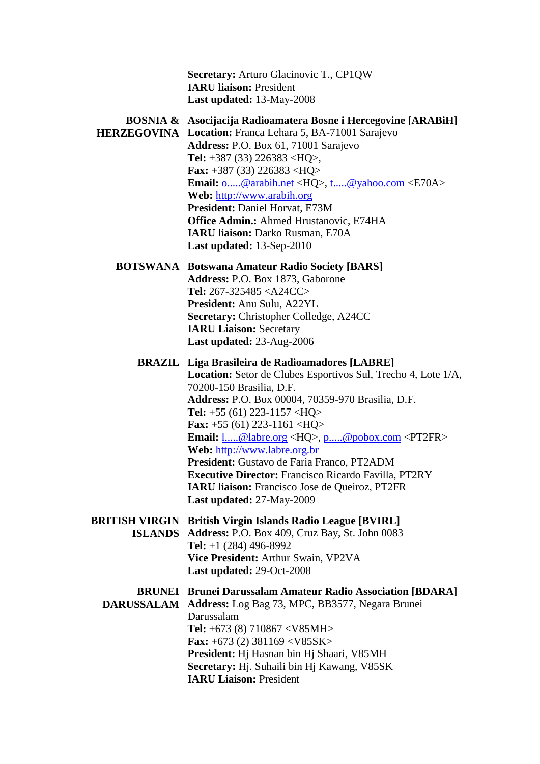**Secretary:** Arturo Glacinovic T., CP1QW **IARU liaison:** President **Last updated:** 13-May-2008

# **BOSNIA & Asocijacija Radioamatera Bosne i Hercegovine [ARABiH]**

**HERZEGOVINA Location:** Franca Lehara 5, BA-71001 Sarajevo **Address:** P.O. Box 61, 71001 Sarajevo **Tel:** +387 (33) 226383 <HQ>, **Fax:** +387 (33) 226383 <HQ> **Email:** [o.....@arabih.net](javascript:return%20false;) <HQ>, [t.....@yahoo.com](javascript:return%20false;) <E70A> **Web:** [http://www.arabih.org](http://www.arabih.org/) **President:** Daniel Horvat, E73M **Office Admin.:** Ahmed Hrustanovic, E74HA **IARU liaison:** Darko Rusman, E70A **Last updated:** 13-Sep-2010

**BOTSWANA Botswana Amateur Radio Society [BARS] Address:** P.O. Box 1873, Gaborone **Tel:** 267-325485 <A24CC> **President:** Anu Sulu, A22YL **Secretary:** Christopher Colledge, A24CC **IARU Liaison:** Secretary **Last updated:** 23-Aug-2006

**BRAZIL Liga Brasileira de Radioamadores [LABRE] Location:** Setor de Clubes Esportivos Sul, Trecho 4, Lote 1/A, 70200-150 Brasilia, D.F. **Address:** P.O. Box 00004, 70359-970 Brasilia, D.F. **Tel:** +55 (61) 223-1157 <HQ> **Fax:** +55 (61) 223-1161 <HQ> **Email:** [l.....@labre.org](javascript:return%20false;) <HQ>, [p.....@pobox.com](javascript:return%20false;) <PT2FR> **Web:** [http://www.labre.org.br](http://www.labre.org.br/) **President:** Gustavo de Faria Franco, PT2ADM **Executive Director:** Francisco Ricardo Favilla, PT2RY **IARU liaison:** Francisco Jose de Queiroz, PT2FR **Last updated:** 27-May-2009 **BRITISH VIRGIN British Virgin Islands Radio League [BVIRL] ISLANDS Address:** P.O. Box 409, Cruz Bay, St. John 0083 **Tel:** +1 (284) 496-8992 **Vice President:** Arthur Swain, VP2VA **Last updated:** 29-Oct-2008 **BRUNEI Brunei Darussalam Amateur Radio Association [BDARA] DARUSSALAM Address:** Log Bag 73, MPC, BB3577, Negara Brunei Darussalam **Tel:** +673 (8) 710867 <V85MH> **Fax:** +673 (2) 381169 <V85SK> **President:** Hj Hasnan bin Hj Shaari, V85MH **Secretary:** Hj. Suhaili bin Hj Kawang, V85SK **IARU Liaison:** President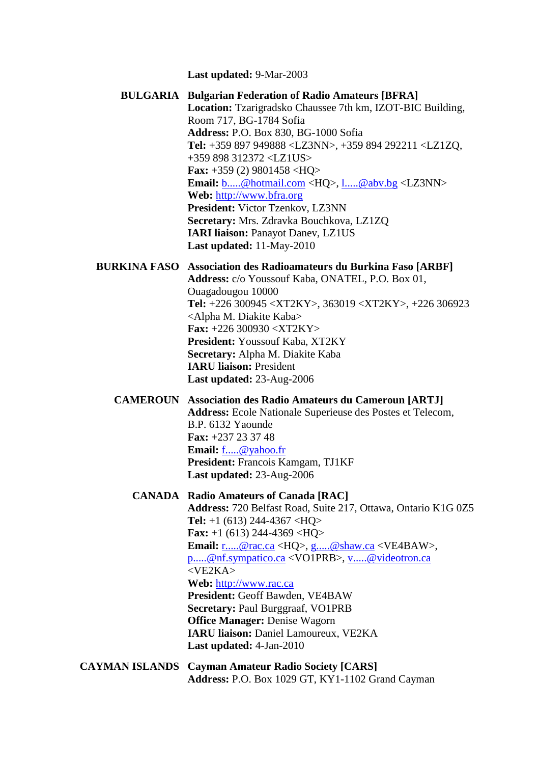**Last updated:** 9-Mar-2003

**BULGARIA Bulgarian Federation of Radio Amateurs [BFRA] Location:** Tzarigradsko Chaussee 7th km, IZOT-BIC Building, Room 717, BG-1784 Sofia **Address:** P.O. Box 830, BG-1000 Sofia **Tel:** +359 897 949888 <LZ3NN>, +359 894 292211 <LZ1ZQ, +359 898 312372 <LZ1US> **Fax:** +359 (2) 9801458 <HQ> **Email:** [b.....@hotmail.com](javascript:return%20false;) <HQ>, [l.....@abv.bg](javascript:return%20false;) <LZ3NN> **Web:** [http://www.bfra.org](http://www.bfra.org/) **President:** Victor Tzenkov, LZ3NN **Secretary:** Mrs. Zdravka Bouchkova, LZ1ZQ **IARI liaison:** Panayot Danev, LZ1US **Last updated:** 11-May-2010 **BURKINA FASO Association des Radioamateurs du Burkina Faso [ARBF] Address:** c/o Youssouf Kaba, ONATEL, P.O. Box 01, Ouagadougou 10000 **Tel:** +226 300945 <XT2KY>, 363019 <XT2KY>, +226 306923 <Alpha M. Diakite Kaba> **Fax:** +226 300930 <XT2KY> **President:** Youssouf Kaba, XT2KY **Secretary:** Alpha M. Diakite Kaba **IARU liaison:** President **Last updated:** 23-Aug-2006 **CAMEROUN Association des Radio Amateurs du Cameroun [ARTJ] Address:** Ecole Nationale Superieuse des Postes et Telecom, B.P. 6132 Yaounde **Fax:** +237 23 37 48 **Email:** [f.....@yahoo.fr](javascript:return%20false;) **President:** Francois Kamgam, TJ1KF **Last updated:** 23-Aug-2006 **CANADA Radio Amateurs of Canada [RAC] Address:** 720 Belfast Road, Suite 217, Ottawa, Ontario K1G 0Z5 **Tel:** +1 (613) 244-4367 <HQ> **Fax:** +1 (613) 244-4369 <HQ> **Email:** [r.....@rac.ca](javascript:return%20false;) <HQ>, [g.....@shaw.ca](javascript:return%20false;) <VE4BAW>, [p.....@nf.sympatico.ca](javascript:return%20false;) <VO1PRB>, [v.....@videotron.ca](javascript:return%20false;) <VE2KA> **Web:** [http://www.rac.ca](http://www.rac.ca/) **President:** Geoff Bawden, VE4BAW **Secretary:** Paul Burggraaf, VO1PRB **Office Manager:** Denise Wagorn **IARU liaison:** Daniel Lamoureux, VE2KA **Last updated:** 4-Jan-2010 **CAYMAN ISLANDS Cayman Amateur Radio Society [CARS] Address:** P.O. Box 1029 GT, KY1-1102 Grand Cayman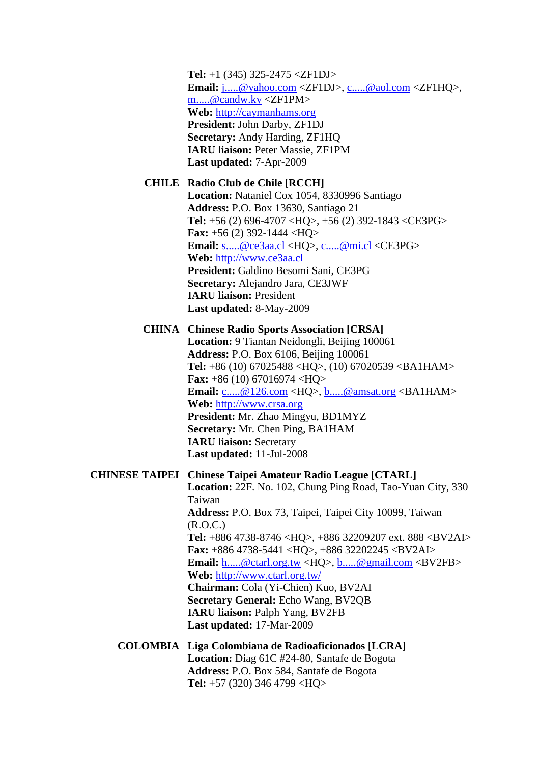**Tel:** +1 (345) 325-2475 <ZF1DJ> **Email:** [j.....@yahoo.com](javascript:return%20false;) <ZF1DJ>, [c.....@aol.com](javascript:return%20false;) <ZF1HQ>, [m.....@candw.ky](javascript:return%20false;) <ZF1PM> **Web:** [http://caymanhams.org](http://caymanhams.org/) **President:** John Darby, ZF1DJ **Secretary:** Andy Harding, ZF1HQ **IARU liaison:** Peter Massie, ZF1PM **Last updated:** 7-Apr-2009

## **CHILE Radio Club de Chile [RCCH]**

**Location:** Nataniel Cox 1054, 8330996 Santiago **Address:** P.O. Box 13630, Santiago 21 **Tel:** +56 (2) 696-4707 <HQ>, +56 (2) 392-1843 <CE3PG> **Fax:** +56 (2) 392-1444 <HQ> **Email:** [s.....@ce3aa.cl](javascript:return%20false;) <HQ>, [c.....@mi.cl](javascript:return%20false;) <CE3PG> **Web:** [http://www.ce3aa.cl](http://www.ce3aa.cl/) **President:** Galdino Besomi Sani, CE3PG **Secretary:** Alejandro Jara, CE3JWF **IARU liaison:** President **Last updated:** 8-May-2009

**CHINA Chinese Radio Sports Association [CRSA]**

**Location:** 9 Tiantan Neidongli, Beijing 100061 **Address:** P.O. Box 6106, Beijing 100061 **Tel:** +86 (10) 67025488 <HQ>, (10) 67020539 <BA1HAM> **Fax:** +86 (10) 67016974 <HQ> **Email:** [c.....@126.com](javascript:return%20false;) <HQ>, [b.....@amsat.org](javascript:return%20false;) <BA1HAM> **Web:** [http://www.crsa.org](http://www.crsa.org/) **President:** Mr. Zhao Mingyu, BD1MYZ **Secretary:** Mr. Chen Ping, BA1HAM **IARU liaison:** Secretary **Last updated:** 11-Jul-2008

# **CHINESE TAIPEI Chinese Taipei Amateur Radio League [CTARL] Location:** 22F. No. 102, Chung Ping Road, Tao-Yuan City, 330 Taiwan **Address:** P.O. Box 73, Taipei, Taipei City 10099, Taiwan (R.O.C.) **Tel:** +886 4738-8746 <HQ>, +886 32209207 ext. 888 <BV2AI> **Fax:** +886 4738-5441 <HQ>, +886 32202245 <BV2AI> **Email:** [h.....@ctarl.org.tw](javascript:return%20false;) <HQ>, [b.....@gmail.com](javascript:return%20false;) <BV2FB> **Web:** <http://www.ctarl.org.tw/> **Chairman:** Cola (Yi-Chien) Kuo, BV2AI **Secretary General:** Echo Wang, BV2QB **IARU liaison:** Palph Yang, BV2FB **Last updated:** 17-Mar-2009 **COLOMBIA Liga Colombiana de Radioaficionados [LCRA] Location:** Diag 61C #24-80, Santafe de Bogota **Address:** P.O. Box 584, Santafe de Bogota

**Tel:** +57 (320) 346 4799 <HQ>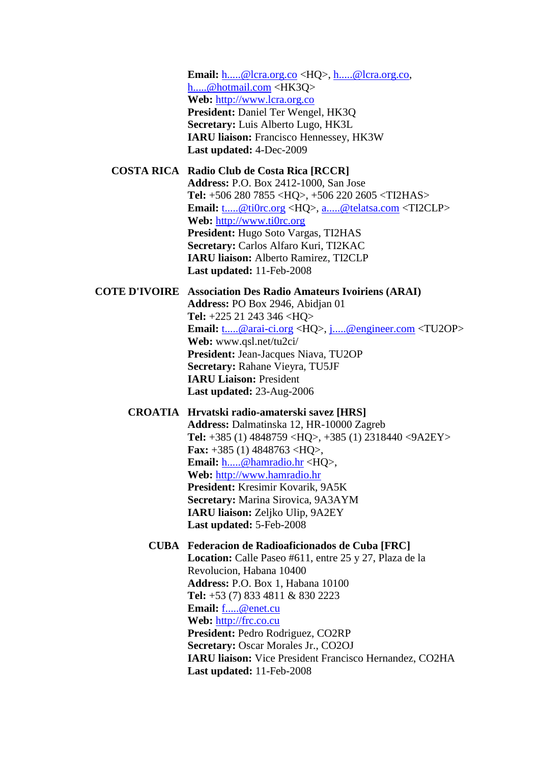**Email:** [h.....@lcra.org.co](javascript:return%20false;) <HQ>, [h.....@lcra.org.co,](javascript:return%20false;) [h.....@hotmail.com](javascript:return%20false;) <HK3Q> **Web:** [http://www.lcra.org.co](http://www.lcra.org.co/) **President:** Daniel Ter Wengel, HK3Q **Secretary:** Luis Alberto Lugo, HK3L **IARU liaison:** Francisco Hennessey, HK3W **Last updated:** 4-Dec-2009

#### **COSTA RICA Radio Club de Costa Rica [RCCR]**

**Address:** P.O. Box 2412-1000, San Jose **Tel:** +506 280 7855 <HQ>, +506 220 2605 <TI2HAS> **Email:** [t.....@ti0rc.org](javascript:return%20false;) <HQ>, [a.....@telatsa.com](javascript:return%20false;) <TI2CLP> **Web:** [http://www.ti0rc.org](http://www.ti0rc.org/) **President:** Hugo Soto Vargas, TI2HAS **Secretary:** Carlos Alfaro Kuri, TI2KAC **IARU liaison:** Alberto Ramirez, TI2CLP **Last updated:** 11-Feb-2008

## **COTE D'IVOIRE Association Des Radio Amateurs Ivoiriens (ARAI)**

**Address:** PO Box 2946, Abidjan 01 **Tel:** +225 21 243 346 <HQ> **Email:** [t.....@arai-ci.org](javascript:return%20false;) <HQ>, [j.....@engineer.com](javascript:return%20false;) <TU2OP> **Web:** www.qsl.net/tu2ci/ **President:** Jean-Jacques Niava, TU2OP **Secretary:** Rahane Vieyra, TU5JF **IARU Liaison:** President **Last updated:** 23-Aug-2006

#### **CROATIA Hrvatski radio-amaterski savez [HRS]**

**Address:** Dalmatinska 12, HR-10000 Zagreb **Tel:** +385 (1) 4848759 <HQ>, +385 (1) 2318440 <9A2EY> **Fax:** +385 (1) 4848763 <HQ>, **Email:** [h.....@hamradio.hr](javascript:return%20false;) <HQ>, **Web:** [http://www.hamradio.hr](http://www.hamradio.hr/) **President:** Kresimir Kovarik, 9A5K **Secretary:** Marina Sirovica, 9A3AYM **IARU liaison:** Zeljko Ulip, 9A2EY **Last updated:** 5-Feb-2008

### **CUBA Federacion de Radioaficionados de Cuba [FRC]**

**Location:** Calle Paseo #611, entre 25 y 27, Plaza de la Revolucion, Habana 10400 **Address:** P.O. Box 1, Habana 10100 **Tel:** +53 (7) 833 4811 & 830 2223 **Email:** [f.....@enet.cu](javascript:return%20false;) **Web:** [http://frc.co.cu](http://frc.co.cu/) **President:** Pedro Rodriguez, CO2RP **Secretary:** Oscar Morales Jr., CO2OJ **IARU liaison:** Vice President Francisco Hernandez, CO2HA **Last updated:** 11-Feb-2008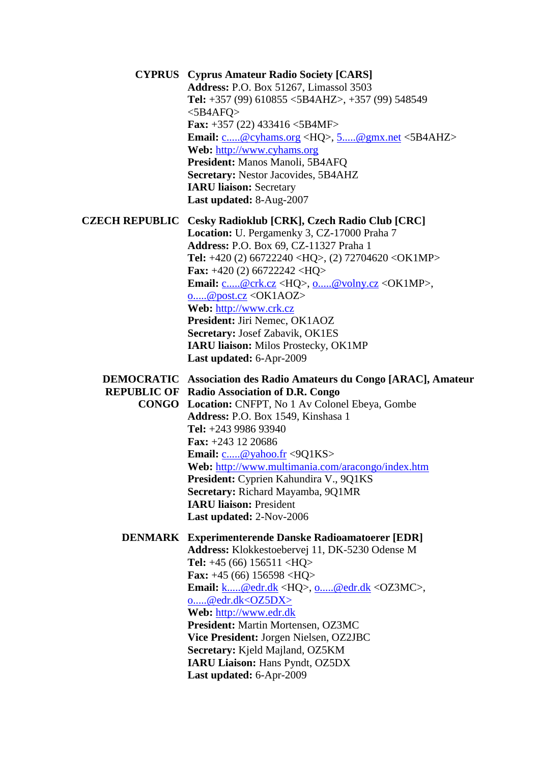**CYPRUS Cyprus Amateur Radio Society [CARS] Address:** P.O. Box 51267, Limassol 3503 **Tel:** +357 (99) 610855 <5B4AHZ>, +357 (99) 548549 <5B4AFQ> **Fax:** +357 (22) 433416 <5B4MF> **Email:** [c.....@cyhams.org](javascript:return%20false;) <HQ>, [5.....@gmx.net](javascript:return%20false;) <5B4AHZ> **Web:** [http://www.cyhams.org](http://www.cyhams.org/) **President:** Manos Manoli, 5B4AFQ **Secretary:** Nestor Jacovides, 5B4AHZ **IARU liaison:** Secretary **Last updated:** 8-Aug-2007 **CZECH REPUBLIC Cesky Radioklub [CRK], Czech Radio Club [CRC] Location:** U. Pergamenky 3, CZ-17000 Praha 7 **Address:** P.O. Box 69, CZ-11327 Praha 1 **Tel:** +420 (2) 66722240 <HQ>, (2) 72704620 <OK1MP> **Fax:** +420 (2) 66722242 <HQ> **Email:** [c.....@crk.cz](javascript:return%20false;) <HQ>, [o.....@volny.cz](javascript:return%20false;) <OK1MP>, [o.....@post.cz](javascript:return%20false;) <OK1AOZ> **Web:** [http://www.crk.cz](http://www.crk.cz/) **President:** Jiri Nemec, OK1AOZ **Secretary:** Josef Zabavik, OK1ES **IARU liaison:** Milos Prostecky, OK1MP **Last updated:** 6-Apr-2009 **DEMOCRATIC Association des Radio Amateurs du Congo [ARAC], Amateur REPUBLIC OF Radio Association of D.R. Congo CONGO Location:** CNFPT, No 1 Av Colonel Ebeya, Gombe **Address:** P.O. Box 1549, Kinshasa 1 **Tel:** +243 9986 93940 **Fax:** +243 12 20686 **Email:** [c.....@yahoo.fr](javascript:return%20false;) <9Q1KS> **Web:** <http://www.multimania.com/aracongo/index.htm> **President:** Cyprien Kahundira V., 9Q1KS **Secretary:** Richard Mayamba, 9Q1MR **IARU liaison:** President **Last updated:** 2-Nov-2006 **DENMARK Experimenterende Danske Radioamatoerer [EDR] Address:** Klokkestoebervej 11, DK-5230 Odense M **Tel:** +45 (66) 156511 <HQ> **Fax:** +45 (66) 156598 <HQ> **Email:** [k.....@edr.dk](javascript:return%20false;) <HQ>, [o.....@edr.dk](javascript:return%20false;) <OZ3MC>, [o.....@edr.dk<OZ5DX>](javascript:return%20false;) **Web:** [http://www.edr.dk](http://www.edr.dk/) **President:** Martin Mortensen, OZ3MC **Vice President:** Jorgen Nielsen, OZ2JBC **Secretary:** Kjeld Majland, OZ5KM **IARU Liaison:** Hans Pyndt, OZ5DX **Last updated:** 6-Apr-2009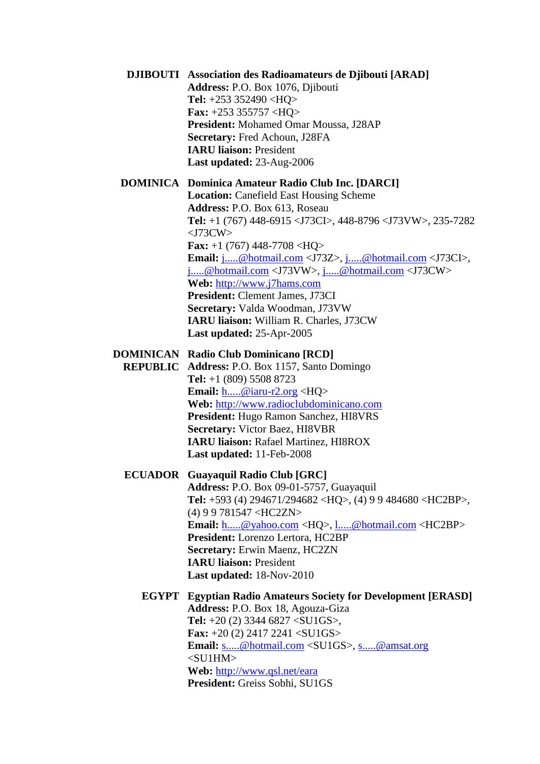| <b>DJIBOUTI</b> Association des Radioamateurs de Djibouti [ARAD]<br>Address: P.O. Box 1076, Djibouti<br>Tel: $+253$ 352490 <hq><br/><b>Fax:</b> +253 355757 <hq><br/>President: Mohamed Omar Moussa, J28AP<br/>Secretary: Fred Achoun, J28FA<br/><b>IARU liaison: President</b><br/>Last updated: 23-Aug-2006</hq></hq>                                                                                                                                                                                                                                                                                                                           |
|---------------------------------------------------------------------------------------------------------------------------------------------------------------------------------------------------------------------------------------------------------------------------------------------------------------------------------------------------------------------------------------------------------------------------------------------------------------------------------------------------------------------------------------------------------------------------------------------------------------------------------------------------|
| <b>DOMINICA</b> Dominica Amateur Radio Club Inc. [DARCI]<br><b>Location:</b> Canefield East Housing Scheme<br>Address: P.O. Box 613, Roseau<br><b>Tel:</b> +1 (767) 448-6915 <j73ci>, 448-8796 <j73vw>, 235-7282<br/><math>&lt;</math>J73CW<math>&gt;</math><br/><b>Fax:</b> +1 (767) 448-7708 <hq><br/>Email: j@hotmail.com <j73z>, j@hotmail.com <j73ci>,<br/>j@hotmail.com <j73vw>, j@hotmail.com <j73cw><br/>Web: http://www.j7hams.com<br/>President: Clement James, J73CI<br/>Secretary: Valda Woodman, J73VW<br/>IARU liaison: William R. Charles, J73CW<br/>Last updated: 25-Apr-2005</j73cw></j73vw></j73ci></j73z></hq></j73vw></j73ci> |
| <b>DOMINICAN</b> Radio Club Dominicano [RCD]<br><b>REPUBLIC Address: P.O. Box 1157, Santo Domingo</b><br><b>Tel:</b> $+1$ (809) 5508 8723<br><b>Email:</b> $\underline{\mathbf{h}\mathbf{\Theta}}$ iaru-r2.org <hq><br/>Web: http://www.radioclubdominicano.com<br/>President: Hugo Ramon Sanchez, HI8VRS<br/><b>Secretary: Victor Baez, HI8VBR</b><br/><b>IARU liaison: Rafael Martinez, HI8ROX</b><br/>Last updated: 11-Feb-2008</hq>                                                                                                                                                                                                           |
| <b>ECUADOR</b> Guayaquil Radio Club [GRC]<br>Address: P.O. Box 09-01-5757, Guayaquil<br><b>Tel:</b> +593 (4) 294671/294682 <hq>, (4) 9 9 484680 <hc2bp>,<br/><math>(4)</math> 9 9 781547 <hc2zn><br/>Email: h@yahoo.com <hq>, l@hotmail.com <hc2bp><br/>President: Lorenzo Lertora, HC2BP<br/><b>Secretary: Erwin Maenz, HC2ZN</b><br/><b>IARU liaison: President</b><br/>Last updated: 18-Nov-2010</hc2bp></hq></hc2zn></hc2bp></hq>                                                                                                                                                                                                             |
| <b>EGYPT</b> Egyptian Radio Amateurs Society for Development [ERASD]<br>Address: P.O. Box 18, Agouza-Giza<br><b>Tel:</b> $+20$ (2) 3344 6827 <su1gs>,<br/><b>Fax:</b> <math>+20</math> (2) 2417 2241 <su1gs><br/><b>Email:</b> s@hotmail.com <su1gs>, s@amsat.org<br/><math>&lt;</math>SU1HM<math>&gt;</math><br/>Web: http://www.qsl.net/eara<br/>President: Greiss Sobhi, SU1GS</su1gs></su1gs></su1gs>                                                                                                                                                                                                                                         |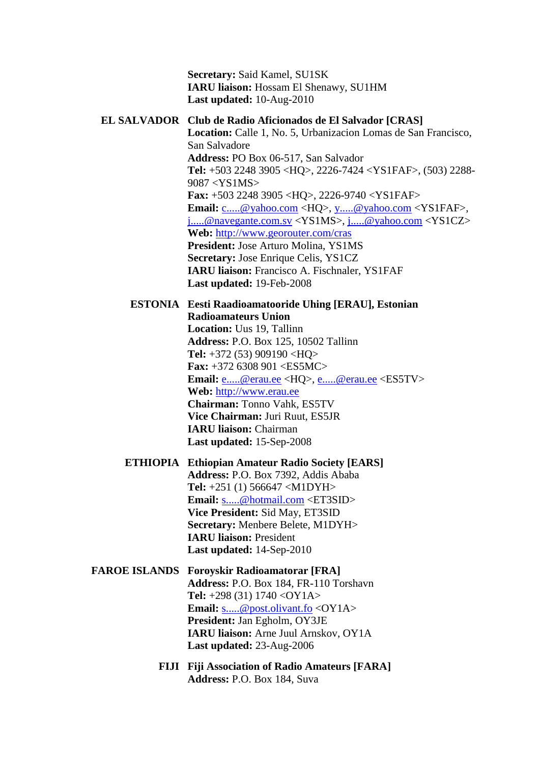**Secretary:** Said Kamel, SU1SK **IARU liaison:** Hossam El Shenawy, SU1HM **Last updated:** 10-Aug-2010

#### **EL SALVADOR Club de Radio Aficionados de El Salvador [CRAS]**

**Location:** Calle 1, No. 5, Urbanizacion Lomas de San Francisco, San Salvadore **Address:** PO Box 06-517, San Salvador **Tel:** +503 2248 3905 <HQ>, 2226-7424 <YS1FAF>, (503) 2288- 9087 <YS1MS> **Fax:** +503 2248 3905 <HQ>, 2226-9740 <YS1FAF> **Email:** [c.....@yahoo.com](javascript:return%20false;) <HQ>, [y.....@yahoo.com](javascript:return%20false;) <YS1FAF>, [j.....@navegante.com.sv](javascript:return%20false;) <YS1MS>, [j.....@yahoo.com](javascript:return%20false;) <YS1CZ> **Web:** <http://www.georouter.com/cras> **President:** Jose Arturo Molina, YS1MS **Secretary:** Jose Enrique Celis, YS1CZ **IARU liaison:** Francisco A. Fischnaler, YS1FAF **Last updated:** 19-Feb-2008

#### **ESTONIA Eesti Raadioamatooride Uhing [ERAU], Estonian Radioamateurs Union**

**Location:** Uus 19, Tallinn **Address:** P.O. Box 125, 10502 Tallinn **Tel:** +372 (53) 909190 <HQ> **Fax:** +372 6308 901 <ES5MC> **Email:** [e.....@erau.ee](javascript:return%20false;) <HQ>, [e.....@erau.ee](javascript:return%20false;) <ES5TV> **Web:** [http://www.erau.ee](http://www.erau.ee/) **Chairman:** Tonno Vahk, ES5TV **Vice Chairman:** Juri Ruut, ES5JR **IARU liaison:** Chairman **Last updated:** 15-Sep-2008

## **ETHIOPIA Ethiopian Amateur Radio Society [EARS] Address:** P.O. Box 7392, Addis Ababa **Tel:** +251 (1) 566647 <M1DYH> **Email:** [s.....@hotmail.com](javascript:return%20false;) <ET3SID> **Vice President:** Sid May, ET3SID **Secretary:** Menbere Belete, M1DYH> **IARU liaison:** President **Last updated:** 14-Sep-2010

## **FAROE ISLANDS Foroyskir Radioamatorar [FRA] Address:** P.O. Box 184, FR-110 Torshavn **Tel:** +298 (31) 1740 <OY1A> **Email:** [s.....@post.olivant.fo](javascript:return%20false;) <OY1A> **President:** Jan Egholm, OY3JE **IARU liaison:** Arne Juul Arnskov, OY1A **Last updated:** 23-Aug-2006

**FIJI Fiji Association of Radio Amateurs [FARA] Address:** P.O. Box 184, Suva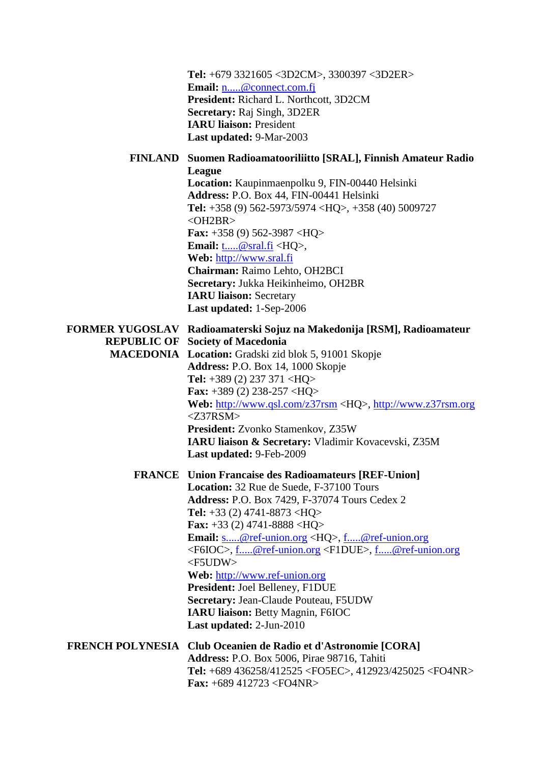| Tel: +679 3321605 <3D2CM>, 3300397 <3D2ER><br>Email: <u>n@connect.com.f</u><br>President: Richard L. Northcott, 3D2CM<br>Secretary: Raj Singh, 3D2ER<br><b>IARU liaison: President</b><br><b>Last updated: 9-Mar-2003</b>                                                                                                                                                                                                                                                                                                                                                                                                  |
|----------------------------------------------------------------------------------------------------------------------------------------------------------------------------------------------------------------------------------------------------------------------------------------------------------------------------------------------------------------------------------------------------------------------------------------------------------------------------------------------------------------------------------------------------------------------------------------------------------------------------|
| FINLAND Suomen Radioamatooriliitto [SRAL], Finnish Amateur Radio                                                                                                                                                                                                                                                                                                                                                                                                                                                                                                                                                           |
| League<br>Location: Kaupinmaenpolku 9, FIN-00440 Helsinki<br>Address: P.O. Box 44, FIN-00441 Helsinki<br><b>Tel:</b> +358 (9) 562-5973/5974 <hq>, +358 (40) 5009727<br/><math>&lt;</math>OH2BR<math>&gt;</math><br/><b>Fax:</b> +358 (9) 562-3987 <hq><br/><b>Email:</b> <math>\underline{\text{t}}\otimes \text{sral.fi}} &lt; HQ</math>,<br/>Web: http://www.sral.fi<br/>Chairman: Raimo Lehto, OH2BCI<br/>Secretary: Jukka Heikinheimo, OH2BR</hq></hq>                                                                                                                                                                 |
| <b>IARU liaison: Secretary</b>                                                                                                                                                                                                                                                                                                                                                                                                                                                                                                                                                                                             |
| Last updated: 1-Sep-2006                                                                                                                                                                                                                                                                                                                                                                                                                                                                                                                                                                                                   |
| FORMER YUGOSLAV Radioamaterski Sojuz na Makedonija [RSM], Radioamateur<br><b>REPUBLIC OF Society of Macedonia</b><br><b>MACEDONIA</b> Location: Gradski zid blok 5, 91001 Skopje<br>Address: P.O. Box 14, 1000 Skopje<br>Tel: $+389$ (2) 237 371 <hq><br/><b>Fax:</b> +389 (2) 238-257 <hq><br/>Web: http://www.qsl.com/z37rsm <hq>, http://www.z37rsm.org<br/><math>&lt;</math>Z37RSM&gt;<br/>President: Zvonko Stamenkov, Z35W<br/>IARU liaison &amp; Secretary: Vladimir Kovacevski, Z35M<br/>Last updated: 9-Feb-2009</hq></hq></hq>                                                                                   |
| <b>FRANCE</b> Union Francaise des Radioamateurs [REF-Union]<br>Location: 32 Rue de Suede, F-37100 Tours<br><b>Address: P.O. Box 7429, F-37074 Tours Cedex 2</b><br><b>Tel:</b> $+33$ (2) 4741-8873 <hq><br/><b>Fax:</b> +33 (2) 4741-8888 <hq><br/><b>Email:</b> s@ref-union.org <hq>, f@ref-union.org<br/><f6ioc>, f@ref-union.org <f1due>, f@ref-union.org<br/><math>&lt;</math>F5UDW<math>&gt;</math><br/>Web: http://www.ref-union.org<br/>President: Joel Belleney, F1DUE<br/>Secretary: Jean-Claude Pouteau, F5UDW<br/>IARU liaison: Betty Magnin, F6IOC<br/>Last updated: 2-Jun-2010</f1due></f6ioc></hq></hq></hq> |
| <b>FRENCH POLYNESIA</b> Club Oceanien de Radio et d'Astronomie [CORA]<br>Address: P.O. Box 5006, Pirae 98716, Tahiti<br>Tel: +689 436258/412525 <fo5ec>, 412923/425025 <fo4nr><br/><b>Fax:</b> +689 412723 <fo4nr></fo4nr></fo4nr></fo5ec>                                                                                                                                                                                                                                                                                                                                                                                 |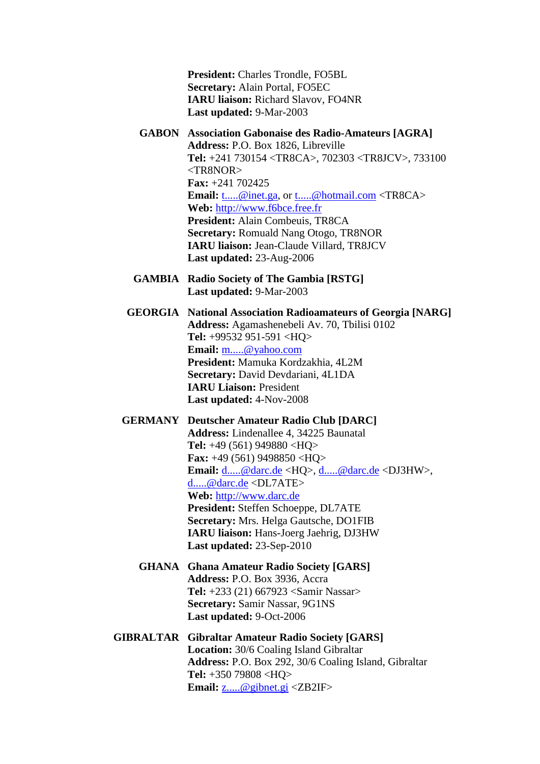**President:** Charles Trondle, FO5BL **Secretary:** Alain Portal, FO5EC **IARU liaison:** Richard Slavov, FO4NR **Last updated:** 9-Mar-2003

- **GABON Association Gabonaise des Radio-Amateurs [AGRA] Address:** P.O. Box 1826, Libreville **Tel:** +241 730154 <TR8CA>, 702303 <TR8JCV>, 733100 <TR8NOR> **Fax:** +241 702425 **Email:** [t.....@inet.ga,](javascript:return%20false;) or [t.....@hotmail.com](javascript:return%20false;) <TR8CA> **Web:** [http://www.f6bce.free.fr](http://www.f6bce.free.fr/) **President:** Alain Combeuis, TR8CA **Secretary:** Romuald Nang Otogo, TR8NOR **IARU liaison:** Jean-Claude Villard, TR8JCV **Last updated:** 23-Aug-2006
- **GAMBIA Radio Society of The Gambia [RSTG] Last updated:** 9-Mar-2003
- **GEORGIA National Association Radioamateurs of Georgia [NARG] Address:** Agamashenebeli Av. 70, Tbilisi 0102 **Tel:** +99532 951-591 <HQ> **Email:** [m.....@yahoo.com](javascript:return%20false;) **President:** Mamuka Kordzakhia, 4L2M **Secretary:** David Devdariani, 4L1DA **IARU Liaison:** President **Last updated:** 4-Nov-2008

**GERMANY Deutscher Amateur Radio Club [DARC] Address:** Lindenallee 4, 34225 Baunatal **Tel:** +49 (561) 949880 <HQ> **Fax:** +49 (561) 9498850 <HQ> **Email:** [d.....@darc.de](javascript:return%20false;) <HQ>, [d.....@darc.de](javascript:return%20false;) <DJ3HW>, [d.....@darc.de](javascript:return%20false;) <DL7ATE> **Web:** [http://www.darc.de](http://www.darc.de/) **President:** Steffen Schoeppe, DL7ATE **Secretary:** Mrs. Helga Gautsche, DO1FIB **IARU liaison:** Hans-Joerg Jaehrig, DJ3HW **Last updated:** 23-Sep-2010

- **GHANA Ghana Amateur Radio Society [GARS] Address:** P.O. Box 3936, Accra **Tel:** +233 (21) 667923 <Samir Nassar> **Secretary:** Samir Nassar, 9G1NS **Last updated:** 9-Oct-2006
- **GIBRALTAR Gibraltar Amateur Radio Society [GARS] Location:** 30/6 Coaling Island Gibraltar **Address:** P.O. Box 292, 30/6 Coaling Island, Gibraltar **Tel:** +350 79808 <HQ> **Email:** [z.....@gibnet.gi](javascript:return%20false;) <ZB2IF>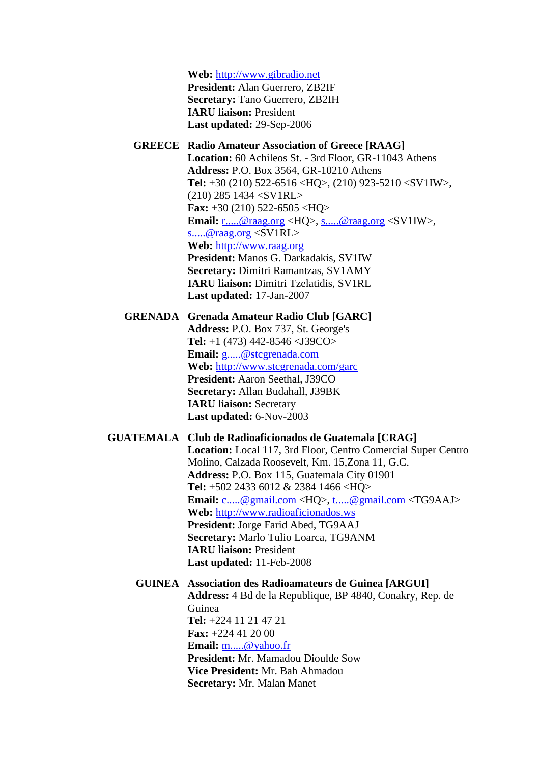**Web:** [http://www.gibradio.net](http://www.gibradio.net/) **President:** Alan Guerrero, ZB2IF **Secretary:** Tano Guerrero, ZB2IH **IARU liaison:** President **Last updated:** 29-Sep-2006

#### **GREECE Radio Amateur Association of Greece [RAAG] Location:** 60 Achileos St. - 3rd Floor, GR-11043 Athens

**Address:** P.O. Box 3564, GR-10210 Athens **Tel:** +30 (210) 522-6516 <HQ>, (210) 923-5210 <SV1IW>, (210) 285 1434 <SV1RL> **Fax:** +30 (210) 522-6505 <HQ> **Email:** [r.....@raag.org](javascript:return%20false;) <HQ>, [s.....@raag.org](javascript:return%20false;) <SV1IW>, [s.....@raag.org](javascript:return%20false;) <SV1RL> **Web:** [http://www.raag.org](http://www.raag.org/) **President:** Manos G. Darkadakis, SV1IW **Secretary:** Dimitri Ramantzas, SV1AMY **IARU liaison:** Dimitri Tzelatidis, SV1RL **Last updated:** 17-Jan-2007

**GRENADA Grenada Amateur Radio Club [GARC] Address:** P.O. Box 737, St. George's **Tel:** +1 (473) 442-8546 <J39CO> **Email:** [g.....@stcgrenada.com](javascript:return%20false;) **Web:** <http://www.stcgrenada.com/garc> **President:** Aaron Seethal, J39CO **Secretary:** Allan Budahall, J39BK **IARU liaison:** Secretary **Last updated:** 6-Nov-2003

#### **GUATEMALA Club de Radioaficionados de Guatemala [CRAG]**

**Location:** Local 117, 3rd Floor, Centro Comercial Super Centro Molino, Calzada Roosevelt, Km. 15,Zona 11, G.C. **Address:** P.O. Box 115, Guatemala City 01901 **Tel:** +502 2433 6012 & 2384 1466 <HQ> **Email:** [c.....@gmail.com](javascript:return%20false;) <HQ>, [t.....@gmail.com](javascript:return%20false;) <TG9AAJ> **Web:** [http://www.radioaficionados.ws](http://www.radioaficionados.ws/) **President:** Jorge Farid Abed, TG9AAJ **Secretary:** Marlo Tulio Loarca, TG9ANM **IARU liaison:** President **Last updated:** 11-Feb-2008

## **GUINEA Association des Radioamateurs de Guinea [ARGUI] Address:** 4 Bd de la Republique, BP 4840, Conakry, Rep. de Guinea **Tel:** +224 11 21 47 21 **Fax:** +224 41 20 00 **Email:** [m.....@yahoo.fr](javascript:return%20false;) **President:** Mr. Mamadou Dioulde Sow **Vice President:** Mr. Bah Ahmadou **Secretary:** Mr. Malan Manet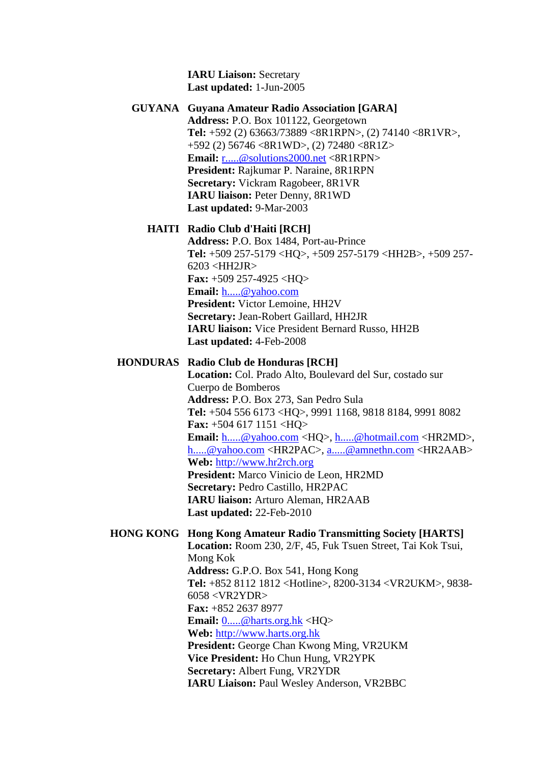**IARU Liaison:** Secretary **Last updated:** 1-Jun-2005

# **GUYANA Guyana Amateur Radio Association [GARA] Address:** P.O. Box 101122, Georgetown **Tel:** +592 (2) 63663/73889 <8R1RPN>, (2) 74140 <8R1VR>, +592 (2) 56746 <8R1WD>, (2) 72480 <8R1Z> **Email:** [r.....@solutions2000.net](javascript:return%20false;) <8R1RPN> **President:** Rajkumar P. Naraine, 8R1RPN **Secretary:** Vickram Ragobeer, 8R1VR **IARU liaison:** Peter Denny, 8R1WD

**Last updated:** 9-Mar-2003

## **HAITI Radio Club d'Haiti [RCH]**

**Address:** P.O. Box 1484, Port-au-Prince **Tel:** +509 257-5179 <HQ>, +509 257-5179 <HH2B>, +509 257- 6203 <HH2JR> **Fax:** +509 257-4925 <HQ> **Email:** [h.....@yahoo.com](javascript:return%20false;) **President:** Victor Lemoine, HH2V **Secretary:** Jean-Robert Gaillard, HH2JR **IARU liaison:** Vice President Bernard Russo, HH2B **Last updated:** 4-Feb-2008

# **HONDURAS Radio Club de Honduras [RCH]**

**Location:** Col. Prado Alto, Boulevard del Sur, costado sur Cuerpo de Bomberos **Address:** P.O. Box 273, San Pedro Sula **Tel:** +504 556 6173 <HQ>, 9991 1168, 9818 8184, 9991 8082 **Fax:** +504 617 1151 <HQ> **Email:** [h.....@yahoo.com](javascript:return%20false;) <HQ>, [h.....@hotmail.com](javascript:return%20false;) <HR2MD>, [h.....@yahoo.com](javascript:return%20false;) <HR2PAC>, [a.....@amnethn.com](javascript:return%20false;) <HR2AAB> **Web:** [http://www.hr2rch.org](http://www.hr2rch.org/) **President:** Marco Vinicio de Leon, HR2MD **Secretary:** Pedro Castillo, HR2PAC **IARU liaison:** Arturo Aleman, HR2AAB **Last updated:** 22-Feb-2010

## **HONG KONG Hong Kong Amateur Radio Transmitting Society [HARTS] Location:** Room 230, 2/F, 45, Fuk Tsuen Street, Tai Kok Tsui, Mong Kok **Address:** G.P.O. Box 541, Hong Kong **Tel:** +852 8112 1812 <Hotline>, 8200-3134 <VR2UKM>, 9838-

6058 <VR2YDR> **Fax:** +852 2637 8977 **Email:** [0.....@harts.org.hk](javascript:return%20false;) <HQ> **Web:** [http://www.harts.org.hk](http://www.harts.org.hk/) **President:** George Chan Kwong Ming, VR2UKM **Vice President:** Ho Chun Hung, VR2YPK **Secretary:** Albert Fung, VR2YDR **IARU Liaison:** Paul Wesley Anderson, VR2BBC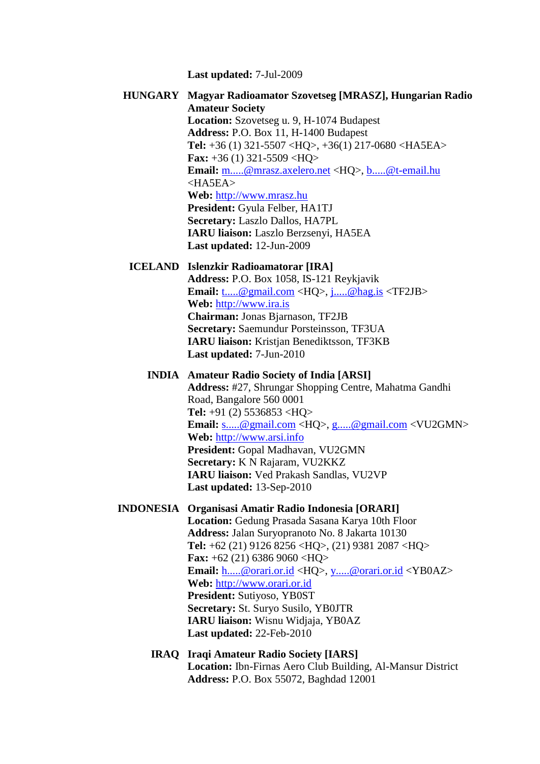**Last updated:** 7-Jul-2009

**HUNGARY Magyar Radioamator Szovetseg [MRASZ], Hungarian Radio Amateur Society Location:** Szovetseg u. 9, H-1074 Budapest **Address:** P.O. Box 11, H-1400 Budapest **Tel:** +36 (1) 321-5507 <HQ>, +36(1) 217-0680 <HA5EA> **Fax:** +36 (1) 321-5509 <HQ> **Email:** [m.....@mrasz.axelero.net](javascript:return%20false;) <HQ>, [b.....@t-email.hu](javascript:return%20false;)  $<$ HA5EA $>$ **Web:** [http://www.mrasz.hu](http://www.mrasz.hu/) **President:** Gyula Felber, HA1TJ **Secretary:** Laszlo Dallos, HA7PL **IARU liaison:** Laszlo Berzsenyi, HA5EA **Last updated:** 12-Jun-2009 **ICELAND Islenzkir Radioamatorar [IRA] Address:** P.O. Box 1058, IS-121 Reykjavik

**Email:** [t.....@gmail.com](javascript:return%20false;) <HQ>, [j.....@hag.is](javascript:return%20false;) <TF2JB> **Web:** [http://www.ira.is](http://www.ira.is/) **Chairman:** Jonas Bjarnason, TF2JB **Secretary:** Saemundur Porsteinsson, TF3UA **IARU liaison:** Kristjan Benediktsson, TF3KB **Last updated:** 7-Jun-2010

- **INDIA Amateur Radio Society of India [ARSI] Address:** #27, Shrungar Shopping Centre, Mahatma Gandhi Road, Bangalore 560 0001 **Tel:** +91 (2) 5536853 <HQ> **Email:** [s.....@gmail.com](javascript:return%20false;) <HQ>, [g.....@gmail.com](javascript:return%20false;) <VU2GMN> **Web:** [http://www.arsi.info](http://www.arsi.info/) **President:** Gopal Madhavan, VU2GMN **Secretary:** K N Rajaram, VU2KKZ **IARU liaison:** Ved Prakash Sandlas, VU2VP **Last updated:** 13-Sep-2010
- **INDONESIA Organisasi Amatir Radio Indonesia [ORARI] Location:** Gedung Prasada Sasana Karya 10th Floor **Address:** Jalan Suryopranoto No. 8 Jakarta 10130 **Tel:** +62 (21) 9126 8256 <HQ>, (21) 9381 2087 <HQ> **Fax:** +62 (21) 6386 9060 <HQ> **Email:** [h.....@orari.or.id](javascript:return%20false;) <HQ>, [y.....@orari.or.id](javascript:return%20false;) <YB0AZ> **Web:** [http://www.orari.or.id](http://www.orari.or.id/) **President:** Sutiyoso, YB0ST **Secretary:** St. Suryo Susilo, YB0JTR **IARU liaison:** Wisnu Widjaja, YB0AZ **Last updated:** 22-Feb-2010
	- **IRAQ Iraqi Amateur Radio Society [IARS] Location:** Ibn-Firnas Aero Club Building, Al-Mansur District **Address:** P.O. Box 55072, Baghdad 12001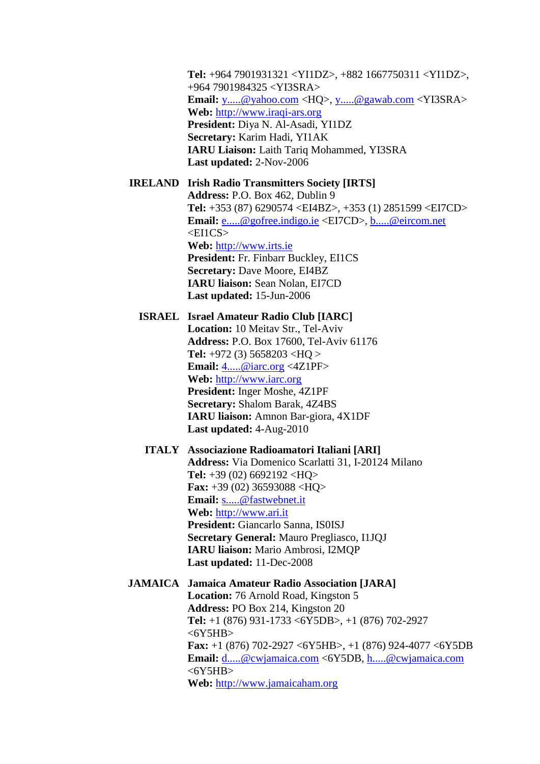**Tel:** +964 7901931321 <YI1DZ>, +882 1667750311 <YI1DZ>, +964 7901984325 <YI3SRA> **Email:** [y.....@yahoo.com](javascript:return%20false;) <HQ>, [y.....@gawab.com](javascript:return%20false;) <YI3SRA> **Web:** [http://www.iraqi-ars.org](http://www.iraqi-ars.org/) **President:** Diya N. Al-Asadi, YI1DZ **Secretary:** Karim Hadi, YI1AK **IARU Liaison:** Laith Tariq Mohammed, YI3SRA **Last updated:** 2-Nov-2006

#### **IRELAND Irish Radio Transmitters Society [IRTS]**

**Address:** P.O. Box 462, Dublin 9 **Tel:** +353 (87) 6290574 <EI4BZ>, +353 (1) 2851599 <EI7CD> **Email:** [e.....@gofree.indigo.ie](javascript:return%20false;) <EI7CD>, [b.....@eircom.net](javascript:return%20false;)  $\leq$ EI1CS $>$ **Web:** [http://www.irts.ie](http://www.irts.ie/) **President:** Fr. Finbarr Buckley, EI1CS **Secretary:** Dave Moore, EI4BZ **IARU liaison:** Sean Nolan, EI7CD **Last updated:** 15-Jun-2006

# **ISRAEL Israel Amateur Radio Club [IARC] Location:** 10 Meitav Str., Tel-Aviv **Address:** P.O. Box 17600, Tel-Aviv 61176 **Tel:** +972 (3) 5658203 <HQ > **Email:** [4.....@iarc.org](javascript:return%20false;) <4Z1PF> **Web:** [http://www.iarc.org](http://www.iarc.org/) **President:** Inger Moshe, 4Z1PF **Secretary:** Shalom Barak, 4Z4BS **IARU liaison:** Amnon Bar-giora, 4X1DF **Last updated:** 4-Aug-2010

## **ITALY Associazione Radioamatori Italiani [ARI] Address:** Via Domenico Scarlatti 31, I-20124 Milano **Tel:** +39 (02) 6692192 <HQ> **Fax:** +39 (02) 36593088 <HQ> **Email:** [s.....@fastwebnet.it](javascript:return%20false;) **Web:** [http://www.ari.it](http://www.ari.it/) **President:** Giancarlo Sanna, IS0ISJ **Secretary General:** Mauro Pregliasco, I1JQJ **IARU liaison:** Mario Ambrosi, I2MQP **Last updated:** 11-Dec-2008

# **JAMAICA Jamaica Amateur Radio Association [JARA] Location:** 76 Arnold Road, Kingston 5 **Address:** PO Box 214, Kingston 20 **Tel:** +1 (876) 931-1733 <6Y5DB>, +1 (876) 702-2927  $<$  6Y5HB $>$ **Fax:** +1 (876) 702-2927 <6Y5HB>, +1 (876) 924-4077 <6Y5DB **Email:** [d.....@cwjamaica.com](javascript:return%20false;) <6Y5DB, [h.....@cwjamaica.com](javascript:return%20false;)  $<$  6Y5HB $>$

**Web:** [http://www.jamaicaham.org](http://www.jamaicaham.org/)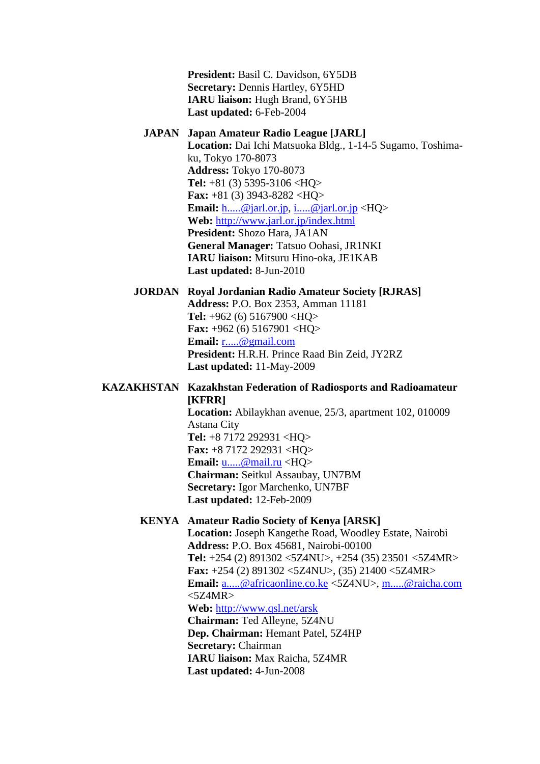**President:** Basil C. Davidson, 6Y5DB **Secretary:** Dennis Hartley, 6Y5HD **IARU liaison:** Hugh Brand, 6Y5HB **Last updated:** 6-Feb-2004

#### **JAPAN Japan Amateur Radio League [JARL]**

**Location:** Dai Ichi Matsuoka Bldg., 1-14-5 Sugamo, Toshimaku, Tokyo 170-8073 **Address:** Tokyo 170-8073 **Tel:** +81 (3) 5395-3106 <HQ> **Fax:** +81 (3) 3943-8282 <HQ> **Email:** [h.....@jarl.or.jp, i.....@jarl.or.jp](javascript:return%20false;) <HQ> **Web:** <http://www.jarl.or.jp/index.html> **President:** Shozo Hara, JA1AN **General Manager:** Tatsuo Oohasi, JR1NKI **IARU liaison:** Mitsuru Hino-oka, JE1KAB **Last updated:** 8-Jun-2010

#### **JORDAN Royal Jordanian Radio Amateur Society [RJRAS]**

**Address:** P.O. Box 2353, Amman 11181 **Tel:** +962 (6) 5167900 <HQ> **Fax:** +962 (6) 5167901 <HQ> **Email:** [r.....@gmail.com](javascript:return%20false;) **President:** H.R.H. Prince Raad Bin Zeid, JY2RZ **Last updated:** 11-May-2009

## **KAZAKHSTAN Kazakhstan Federation of Radiosports and Radioamateur [KFRR]**

**Location:** Abilaykhan avenue, 25/3, apartment 102, 010009 Astana City **Tel:** +8 7172 292931 <HQ> **Fax:** +8 7172 292931 <HQ> **Email:** [u.....@mail.ru](javascript:return%20false;) <HQ> **Chairman:** Seitkul Assaubay, UN7BM **Secretary:** Igor Marchenko, UN7BF **Last updated:** 12-Feb-2009

# **KENYA Amateur Radio Society of Kenya [ARSK]**

**Location:** Joseph Kangethe Road, Woodley Estate, Nairobi **Address:** P.O. Box 45681, Nairobi-00100 **Tel:** +254 (2) 891302 <5Z4NU>, +254 (35) 23501 <5Z4MR> **Fax:** +254 (2) 891302 <5Z4NU>, (35) 21400 <5Z4MR> **Email:** [a.....@africaonline.co.ke](javascript:return%20false;) <5Z4NU>, [m.....@raicha.com](javascript:return%20false;)  $<5Z4MR$ **Web:** <http://www.qsl.net/arsk> **Chairman:** Ted Alleyne, 5Z4NU **Dep. Chairman:** Hemant Patel, 5Z4HP **Secretary:** Chairman **IARU liaison:** Max Raicha, 5Z4MR **Last updated:** 4-Jun-2008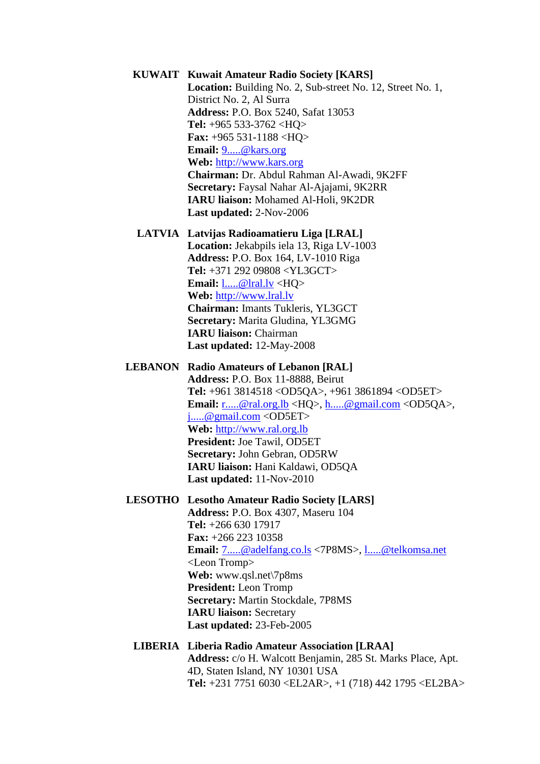# **KUWAIT Kuwait Amateur Radio Society [KARS]**

**Location:** Building No. 2, Sub-street No. 12, Street No. 1, District No. 2, Al Surra **Address:** P.O. Box 5240, Safat 13053 **Tel:** +965 533-3762 <HQ> **Fax:** +965 531-1188 <HQ> **Email:** [9.....@kars.org](javascript:return%20false;) **Web:** [http://www.kars.org](http://www.kars.org/) **Chairman:** Dr. Abdul Rahman Al-Awadi, 9K2FF **Secretary:** Faysal Nahar Al-Ajajami, 9K2RR **IARU liaison:** Mohamed Al-Holi, 9K2DR **Last updated:** 2-Nov-2006

**LATVIA Latvijas Radioamatieru Liga [LRAL] Location:** Jekabpils iela 13, Riga LV-1003 **Address:** P.O. Box 164, LV-1010 Riga **Tel:** +371 292 09808 <YL3GCT> **Email:** [l.....@lral.lv](javascript:return%20false;) <HQ> **Web:** [http://www.lral.lv](http://www.lral.lv/) **Chairman:** Imants Tukleris, YL3GCT **Secretary:** Marita Gludina, YL3GMG **IARU liaison:** Chairman **Last updated:** 12-May-2008

**LEBANON Radio Amateurs of Lebanon [RAL]**

**Address:** P.O. Box 11-8888, Beirut **Tel:** +961 3814518 <OD5QA>, +961 3861894 <OD5ET> **Email:** [r.....@ral.org.lb](javascript:return%20false;) <HQ>, [h.....@gmail.com](javascript:return%20false;) <OD5QA>, [j.....@gmail.com](javascript:return%20false;) <OD5ET> **Web:** [http://www.ral.org.lb](http://www.ral.org.lb/) **President:** Joe Tawil, OD5ET **Secretary:** John Gebran, OD5RW **IARU liaison:** Hani Kaldawi, OD5QA **Last updated:** 11-Nov-2010

**LESOTHO Lesotho Amateur Radio Society [LARS]**

**Address:** P.O. Box 4307, Maseru 104 **Tel:** +266 630 17917 **Fax:** +266 223 10358 **Email:** [7.....@adelfang.co.ls](javascript:return%20false;) <7P8MS>, [l.....@telkomsa.net](javascript:return%20false;) <Leon Tromp> **Web:** www.qsl.net\7p8ms **President:** Leon Tromp **Secretary:** Martin Stockdale, 7P8MS **IARU liaison:** Secretary **Last updated:** 23-Feb-2005

#### **LIBERIA Liberia Radio Amateur Association [LRAA] Address:** c/o H. Walcott Benjamin, 285 St. Marks Place, Apt. 4D, Staten Island, NY 10301 USA **Tel:** +231 7751 6030 <EL2AR>, +1 (718) 442 1795 <EL2BA>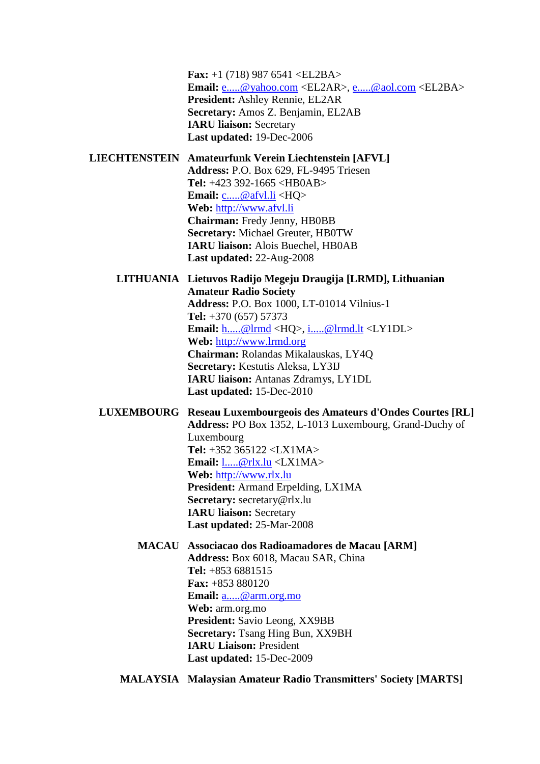**Fax:** +1 (718) 987 6541 <EL2BA> **Email:** [e.....@yahoo.com](javascript:return%20false;) <EL2AR>, [e.....@aol.com](javascript:return%20false;) <EL2BA> **President:** Ashley Rennie, EL2AR **Secretary:** Amos Z. Benjamin, EL2AB **IARU liaison:** Secretary **Last updated:** 19-Dec-2006

**LIECHTENSTEIN Amateurfunk Verein Liechtenstein [AFVL] Address:** P.O. Box 629, FL-9495 Triesen **Tel:** +423 392-1665 <HB0AB> **Email:** [c.....@afvl.li](javascript:return%20false;) <HQ> **Web:** [http://www.afvl.li](http://www.afvl.li/) **Chairman:** Fredy Jenny, HB0BB **Secretary:** Michael Greuter, HB0TW **IARU liaison:** Alois Buechel, HB0AB **Last updated:** 22-Aug-2008

#### **LITHUANIA Lietuvos Radijo Megeju Draugija [LRMD], Lithuanian Amateur Radio Society**

**Address:** P.O. Box 1000, LT-01014 Vilnius-1 **Tel:** +370 (657) 57373 **Email:** [h.....@lrmd](javascript:return%20false;) <HQ>, [i.....@lrmd.lt](javascript:return%20false;) <LY1DL> **Web:** [http://www.lrmd.org](http://www.lrmd.org/) **Chairman:** Rolandas Mikalauskas, LY4Q **Secretary:** Kestutis Aleksa, LY3IJ **IARU liaison:** Antanas Zdramys, LY1DL **Last updated:** 15-Dec-2010

#### **LUXEMBOURG Reseau Luxembourgeois des Amateurs d'Ondes Courtes [RL] Address:** PO Box 1352, L-1013 Luxembourg, Grand-Duchy of

Luxembourg **Tel:** +352 365122 <LX1MA> **Email:** [l.....@rlx.lu](javascript:return%20false;) <LX1MA> **Web:** [http://www.rlx.lu](http://www.rlx.lu/) **President:** Armand Erpelding, LX1MA **Secretary:** secretary@rlx.lu **IARU liaison:** Secretary **Last updated:** 25-Mar-2008

# **MACAU Associacao dos Radioamadores de Macau [ARM]**

**Address:** Box 6018, Macau SAR, China **Tel:** +853 6881515 **Fax:** +853 880120 **Email:** [a.....@arm.org.mo](javascript:return%20false;) **Web:** arm.org.mo **President:** Savio Leong, XX9BB **Secretary:** Tsang Hing Bun, XX9BH **IARU Liaison:** President **Last updated:** 15-Dec-2009

**MALAYSIA Malaysian Amateur Radio Transmitters' Society [MARTS]**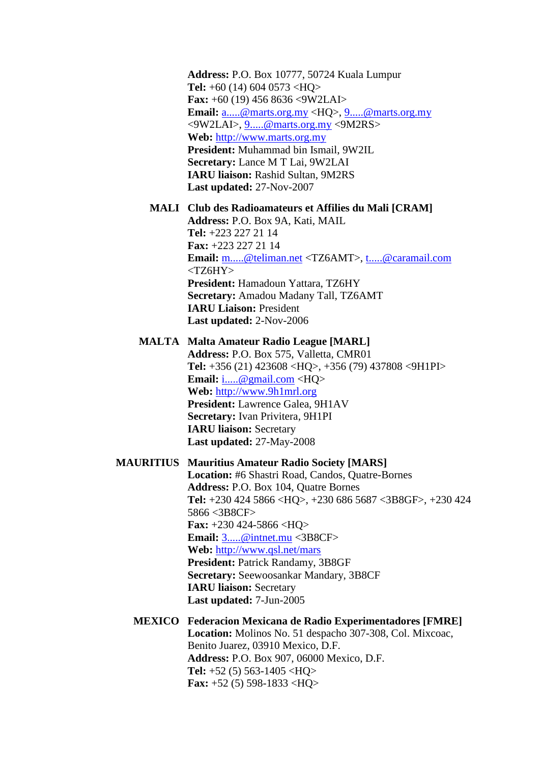**Address:** P.O. Box 10777, 50724 Kuala Lumpur **Tel:** +60 (14) 604 0573 <HQ> **Fax:** +60 (19) 456 8636 <9W2LAI> **Email:** [a.....@marts.org.my](javascript:return%20false;) <HQ>, [9.....@marts.org.my](javascript:return%20false;) <9W2LAI>, [9.....@marts.org.my](javascript:return%20false;) <9M2RS> **Web:** [http://www.marts.org.my](http://www.marts.org.my/) **President:** Muhammad bin Ismail, 9W2IL **Secretary:** Lance M T Lai, 9W2LAI **IARU liaison:** Rashid Sultan, 9M2RS **Last updated:** 27-Nov-2007

# **MALI Club des Radioamateurs et Affilies du Mali [CRAM]**

**Address:** P.O. Box 9A, Kati, MAIL **Tel:** +223 227 21 14 **Fax:** +223 227 21 14 **Email:** [m.....@teliman.net](javascript:return%20false;) <TZ6AMT>, [t.....@caramail.com](javascript:return%20false;) <TZ6HY> **President:** Hamadoun Yattara, TZ6HY **Secretary:** Amadou Madany Tall, TZ6AMT **IARU Liaison:** President **Last updated:** 2-Nov-2006

## **MALTA Malta Amateur Radio League [MARL]**

**Address:** P.O. Box 575, Valletta, CMR01 **Tel:** +356 (21) 423608 <HQ>, +356 (79) 437808 <9H1PI> **Email:** [i.....@gmail.com](javascript:return%20false;) <HQ> **Web:** [http://www.9h1mrl.org](http://www.9h1mrl.org/) **President:** Lawrence Galea, 9H1AV **Secretary:** Ivan Privitera, 9H1PI **IARU liaison:** Secretary **Last updated:** 27-May-2008

#### **MAURITIUS Mauritius Amateur Radio Society [MARS]**

**Location:** #6 Shastri Road, Candos, Quatre-Bornes **Address:** P.O. Box 104, Quatre Bornes **Tel:** +230 424 5866 <HQ>, +230 686 5687 <3B8GF>, +230 424 5866 <3B8CF> **Fax:** +230 424-5866 <HQ> **Email:** [3.....@intnet.mu](javascript:return%20false;) <3B8CF> **Web:** <http://www.qsl.net/mars> **President:** Patrick Randamy, 3B8GF **Secretary:** Seewoosankar Mandary, 3B8CF **IARU liaison:** Secretary **Last updated:** 7-Jun-2005

# **MEXICO Federacion Mexicana de Radio Experimentadores [FMRE] Location:** Molinos No. 51 despacho 307-308, Col. Mixcoac, Benito Juarez, 03910 Mexico, D.F. **Address:** P.O. Box 907, 06000 Mexico, D.F. **Tel:** +52 (5) 563-1405 <HQ> **Fax:** +52 (5) 598-1833 <HQ>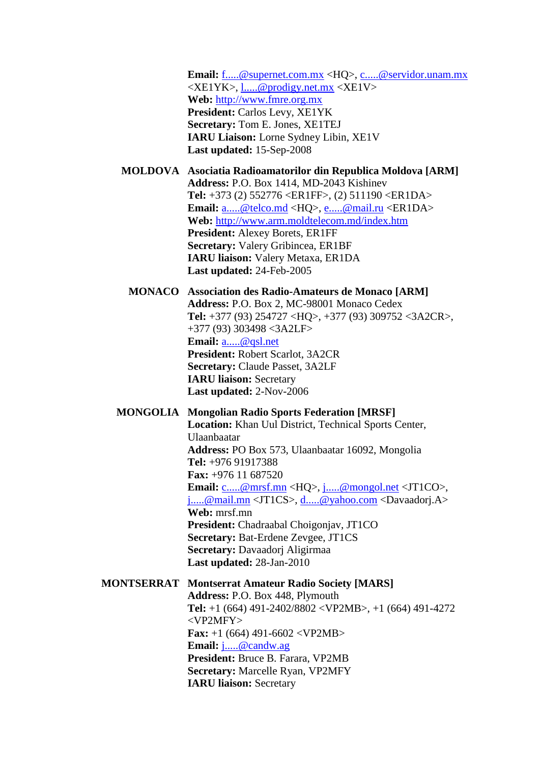**Email:** [f.....@supernet.com.mx](javascript:return%20false;) <HQ>, [c.....@servidor.unam.mx](javascript:return%20false;)  $\langle XE1YK\rangle$ , 1.....@prodigy.net.mx  $\langle XE1V\rangle$ **Web:** [http://www.fmre.org.mx](http://www.fmre.org.mx/) **President:** Carlos Levy, XE1YK **Secretary:** Tom E. Jones, XE1TEJ **IARU Liaison:** Lorne Sydney Libin, XE1V **Last updated:** 15-Sep-2008

## **MOLDOVA Asociatia Radioamatorilor din Republica Moldova [ARM] Address:** P.O. Box 1414, MD-2043 Kishinev **Tel:** +373 (2) 552776 <ER1FF>, (2) 511190 <ER1DA> **Email:** [a.....@telco.md](javascript:return%20false;) <HQ>, [e.....@mail.ru](javascript:return%20false;) <ER1DA> **Web:** <http://www.arm.moldtelecom.md/index.htm> **President:** Alexey Borets, ER1FF **Secretary:** Valery Gribincea, ER1BF **IARU liaison:** Valery Metaxa, ER1DA **Last updated:** 24-Feb-2005

### **MONACO Association des Radio-Amateurs de Monaco [ARM]**

**Address:** P.O. Box 2, MC-98001 Monaco Cedex **Tel:** +377 (93) 254727 <HQ>, +377 (93) 309752 <3A2CR>, +377 (93) 303498 <3A2LF> **Email:** [a.....@qsl.net](javascript:return%20false;) **President:** Robert Scarlot, 3A2CR **Secretary:** Claude Passet, 3A2LF **IARU liaison:** Secretary **Last updated:** 2-Nov-2006

# **MONGOLIA Mongolian Radio Sports Federation [MRSF]**

**Location:** Khan Uul District, Technical Sports Center, Ulaanbaatar **Address:** PO Box 573, Ulaanbaatar 16092, Mongolia **Tel:** +976 91917388 **Fax:** +976 11 687520 **Email:** [c.....@mrsf.mn](javascript:return%20false;) <HQ>, [j.....@mongol.net](javascript:return%20false;) <JT1CO>, [j.....@mail.mn](javascript:return%20false;) <JT1CS>, [d.....@yahoo.com](javascript:return%20false;) <Davaadorj.A> **Web:** mrsf.mn **President:** Chadraabal Choigonjav, JT1CO **Secretary:** Bat-Erdene Zevgee, JT1CS **Secretary:** Davaadorj Aligirmaa **Last updated:** 28-Jan-2010

## **MONTSERRAT Montserrat Amateur Radio Society [MARS]**

**Address:** P.O. Box 448, Plymouth **Tel:** +1 (664) 491-2402/8802 <VP2MB>, +1 (664) 491-4272 <VP2MFY> **Fax:** +1 (664) 491-6602 <VP2MB> **Email:** [j.....@candw.ag](javascript:return%20false;) **President:** Bruce B. Farara, VP2MB **Secretary:** Marcelle Ryan, VP2MFY **IARU liaison:** Secretary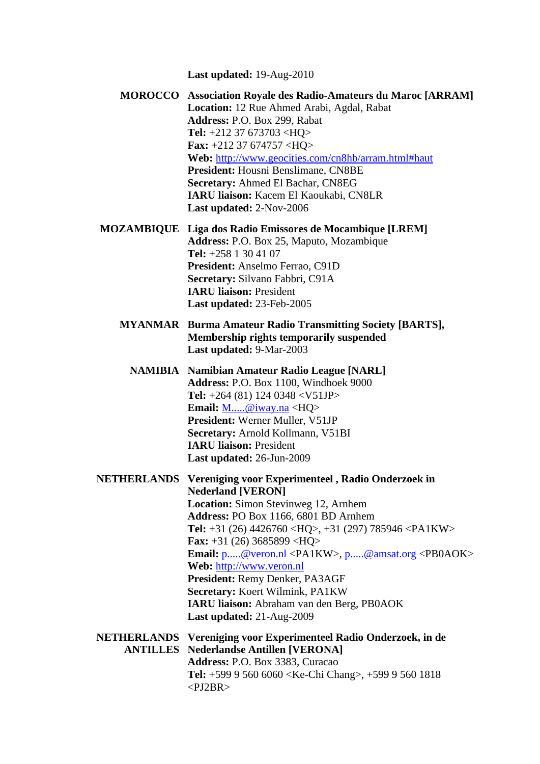**Last updated:** 19-Aug-2010

- **MOROCCO Association Royale des Radio-Amateurs du Maroc [ARRAM] Location:** 12 Rue Ahmed Arabi, Agdal, Rabat **Address:** P.O. Box 299, Rabat **Tel:** +212 37 673703 <HQ> **Fax:** +212 37 674757 <HQ> **Web:** <http://www.geocities.com/cn8hb/arram.html#haut> **President:** Housni Benslimane, CN8BE **Secretary:** Ahmed El Bachar, CN8EG **IARU liaison:** Kacem El Kaoukabi, CN8LR **Last updated:** 2-Nov-2006
- **MOZAMBIQUE Liga dos Radio Emissores de Mocambique [LREM] Address:** P.O. Box 25, Maputo, Mozambique **Tel:** +258 1 30 41 07 **President:** Anselmo Ferrao, C91D **Secretary:** Silvano Fabbri, C91A **IARU liaison:** President **Last updated:** 23-Feb-2005
	- **MYANMAR Burma Amateur Radio Transmitting Society [BARTS], Membership rights temporarily suspended Last updated:** 9-Mar-2003
		- **NAMIBIA Namibian Amateur Radio League [NARL] Address:** P.O. Box 1100, Windhoek 9000 **Tel:** +264 (81) 124 0348 <V51JP> **Email:** [M.....@iway.na](javascript:return%20false;) <HQ> **President:** Werner Muller, V51JP **Secretary:** Arnold Kollmann, V51BI **IARU liaison:** President **Last updated:** 26-Jun-2009
- **NETHERLANDS Vereniging voor Experimenteel , Radio Onderzoek in Nederland [VERON] Location:** Simon Stevinweg 12, Arnhem **Address:** PO Box 1166, 6801 BD Arnhem **Tel:** +31 (26) 4426760 <HQ>, +31 (297) 785946 <PA1KW> **Fax:** +31 (26) 3685899 <HQ> **Email:** [p.....@veron.nl](javascript:return%20false;) <PA1KW>, [p.....@amsat.org](javascript:return%20false;) <PB0AOK> **Web:** [http://www.veron.nl](http://www.veron.nl/) **President:** Remy Denker, PA3AGF **Secretary:** Koert Wilmink, PA1KW **IARU liaison:** Abraham van den Berg, PB0AOK **Last updated:** 21-Aug-2009 **NETHERLANDS Vereniging voor Experimenteel Radio Onderzoek, in de ANTILLES Nederlandse Antillen [VERONA] Address:** P.O. Box 3383, Curacao
	- **Tel:** +599 9 560 6060 <Ke-Chi Chang>, +599 9 560 1818  $\langle$ PJ2BR $>$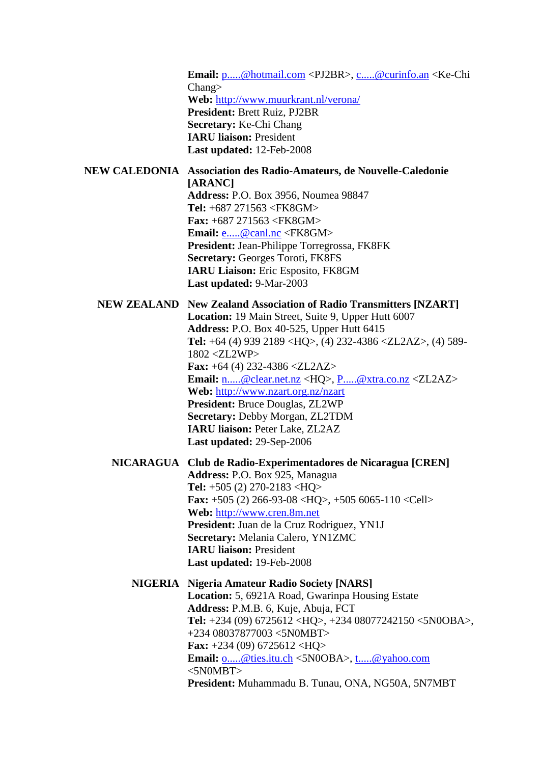**Email:** [p.....@hotmail.com](javascript:return%20false;) <PJ2BR>, [c.....@curinfo.an](javascript:return%20false;) <Ke-Chi Chang> **Web:** <http://www.muurkrant.nl/verona/> **President:** Brett Ruiz, PJ2BR **Secretary:** Ke-Chi Chang **IARU liaison:** President **Last updated:** 12-Feb-2008

**NEW CALEDONIA Association des Radio-Amateurs, de Nouvelle-Caledonie [ARANC] Address:** P.O. Box 3956, Noumea 98847 **Tel:** +687 271563 <FK8GM>

**Fax:** +687 271563 <FK8GM> **Email:** [e.....@canl.nc](javascript:return%20false;) <FK8GM> **President:** Jean-Philippe Torregrossa, FK8FK **Secretary:** Georges Toroti, FK8FS **IARU Liaison:** Eric Esposito, FK8GM **Last updated:** 9-Mar-2003

**NEW ZEALAND New Zealand Association of Radio Transmitters [NZART] Location:** 19 Main Street, Suite 9, Upper Hutt 6007 **Address:** P.O. Box 40-525, Upper Hutt 6415 **Tel:** +64 (4) 939 2189 <HQ>, (4) 232-4386 <ZL2AZ>, (4) 589- 1802 <ZL2WP> **Fax:** +64 (4) 232-4386 <ZL2AZ> **Email:** [n.....@clear.net.nz](javascript:return%20false;) <HQ>, [P.....@xtra.co.nz](javascript:return%20false;) <ZL2AZ> **Web:** <http://www.nzart.org.nz/nzart> **President:** Bruce Douglas, ZL2WP **Secretary:** Debby Morgan, ZL2TDM **IARU liaison:** Peter Lake, ZL2AZ **Last updated:** 29-Sep-2006

**NICARAGUA Club de Radio-Experimentadores de Nicaragua [CREN] Address:** P.O. Box 925, Managua **Tel:** +505 (2) 270-2183 <HQ> **Fax:** +505 (2) 266-93-08 <HQ>, +505 6065-110 <Cell> **Web:** [http://www.cren.8m.net](http://www.cren.8m.net/) **President:** Juan de la Cruz Rodriguez, YN1J **Secretary:** Melania Calero, YN1ZMC **IARU liaison:** President **Last updated:** 19-Feb-2008

**NIGERIA Nigeria Amateur Radio Society [NARS] Location:** 5, 6921A Road, Gwarinpa Housing Estate **Address:** P.M.B. 6, Kuje, Abuja, FCT **Tel:** +234 (09) 6725612 <HQ>, +234 08077242150 <5N0OBA>, +234 08037877003 <5N0MBT> **Fax:** +234 (09) 6725612 <HQ> **Email:** [o.....@ties.itu.ch](javascript:return%20false;) <5N0OBA>, [t.....@yahoo.com](javascript:return%20false;)  $<$ 5N0MBT $>$ **President:** Muhammadu B. Tunau, ONA, NG50A, 5N7MBT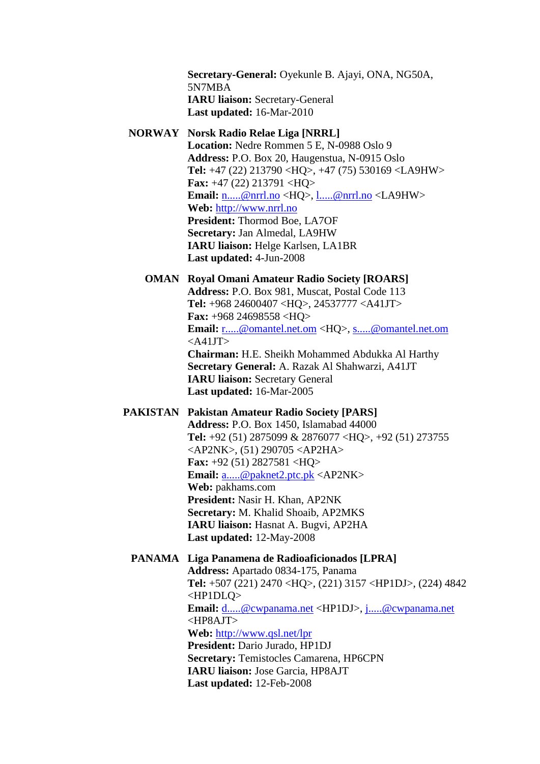**Secretary-General:** Oyekunle B. Ajayi, ONA, NG50A, 5N7MBA **IARU liaison:** Secretary-General **Last updated:** 16-Mar-2010

#### **NORWAY Norsk Radio Relae Liga [NRRL]**

**Location:** Nedre Rommen 5 E, N-0988 Oslo 9 **Address:** P.O. Box 20, Haugenstua, N-0915 Oslo **Tel:** +47 (22) 213790 <HQ>, +47 (75) 530169 <LA9HW> **Fax:** +47 (22) 213791 <HQ> **Email:** [n.....@nrrl.no](javascript:return%20false;) <HQ>, [l.....@nrrl.no](javascript:return%20false;) <LA9HW> **Web:** [http://www.nrrl.no](http://www.nrrl.no/) **President:** Thormod Boe, LA7OF **Secretary:** Jan Almedal, LA9HW **IARU liaison:** Helge Karlsen, LA1BR **Last updated:** 4-Jun-2008

#### **OMAN Royal Omani Amateur Radio Society [ROARS]**

**Address:** P.O. Box 981, Muscat, Postal Code 113 **Tel:** +968 24600407 <HQ>, 24537777 <A41JT> **Fax:** +968 24698558 <HQ> **Email:** [r.....@omantel.net.om](javascript:return%20false;) <HQ>, [s.....@omantel.net.om](javascript:return%20false;)  $<$ A41JT $>$ **Chairman:** H.E. Sheikh Mohammed Abdukka Al Harthy **Secretary General:** A. Razak Al Shahwarzi, A41JT **IARU liaison:** Secretary General **Last updated:** 16-Mar-2005

# **PAKISTAN Pakistan Amateur Radio Society [PARS]**

**Address:** P.O. Box 1450, Islamabad 44000 **Tel:** +92 (51) 2875099 & 2876077 <HQ>, +92 (51) 273755 <AP2NK>, (51) 290705 <AP2HA> **Fax:** +92 (51) 2827581 <HQ> **Email:** [a.....@paknet2.ptc.pk](javascript:return%20false;) <AP2NK> **Web:** pakhams.com **President:** Nasir H. Khan, AP2NK **Secretary:** M. Khalid Shoaib, AP2MKS **IARU liaison:** Hasnat A. Bugvi, AP2HA **Last updated:** 12-May-2008

#### **PANAMA Liga Panamena de Radioaficionados [LPRA]**

**Address:** Apartado 0834-175, Panama **Tel:** +507 (221) 2470 <HQ>, (221) 3157 <HP1DJ>, (224) 4842  $\langle H$ P1DL $O \rangle$ **Email:** [d.....@cwpanama.net](javascript:return%20false;) <HP1DJ>, [j.....@cwpanama.net](javascript:return%20false;) <HP8AJT> **Web:** <http://www.qsl.net/lpr> **President:** Dario Jurado, HP1DJ **Secretary:** Temistocles Camarena, HP6CPN **IARU liaison:** Jose Garcia, HP8AJT **Last updated:** 12-Feb-2008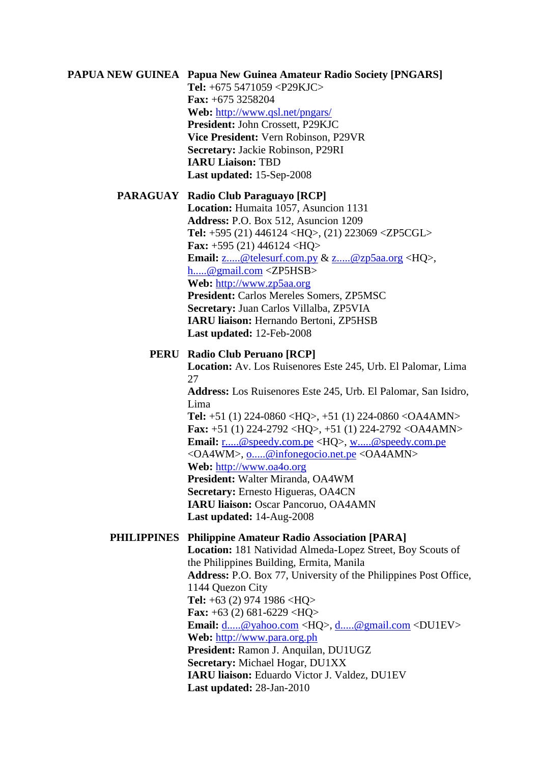# **PAPUA NEW GUINEA Papua New Guinea Amateur Radio Society [PNGARS] Tel:** +675 5471059 <P29KJC> **Fax:** +675 3258204

**Web:** <http://www.qsl.net/pngars/> **President:** John Crossett, P29KJC **Vice President:** Vern Robinson, P29VR **Secretary:** Jackie Robinson, P29RI **IARU Liaison:** TBD **Last updated:** 15-Sep-2008

# **PARAGUAY Radio Club Paraguayo [RCP]**

**Location:** Humaita 1057, Asuncion 1131 **Address:** P.O. Box 512, Asuncion 1209 **Tel:** +595 (21) 446124 <HQ>, (21) 223069 <ZP5CGL> **Fax:** +595 (21) 446124 <HQ> **Email:** [z.....@telesurf.com.py](javascript:return%20false;) & [z.....@zp5aa.org](javascript:return%20false;) <HQ>, [h.....@gmail.com](javascript:return%20false;) <ZP5HSB> **Web:** [http://www.zp5aa.org](http://www.zp5aa.org/) **President:** Carlos Mereles Somers, ZP5MSC **Secretary:** Juan Carlos Villalba, ZP5VIA **IARU liaison:** Hernando Bertoni, ZP5HSB **Last updated:** 12-Feb-2008

# **PERU Radio Club Peruano [RCP]**

**Location:** Av. Los Ruisenores Este 245, Urb. El Palomar, Lima 27

**Address:** Los Ruisenores Este 245, Urb. El Palomar, San Isidro, Lima

**Tel:** +51 (1) 224-0860 <HQ>, +51 (1) 224-0860 <OA4AMN> **Fax:** +51 (1) 224-2792 <HQ>, +51 (1) 224-2792 <OA4AMN> **Email:** [r.....@speedy.com.pe](javascript:return%20false;) <HQ>, [w.....@speedy.com.pe](javascript:return%20false;) <OA4WM>, [o.....@infonegocio.net.pe](javascript:return%20false;) <OA4AMN> **Web:** [http://www.oa4o.org](http://www.oa4o.org/) **President:** Walter Miranda, OA4WM **Secretary:** Ernesto Higueras, OA4CN

**IARU liaison:** Oscar Pancoruo, OA4AMN **Last updated:** 14-Aug-2008

# **PHILIPPINES Philippine Amateur Radio Association [PARA]**

**Location:** 181 Natividad Almeda-Lopez Street, Boy Scouts of the Philippines Building, Ermita, Manila **Address:** P.O. Box 77, University of the Philippines Post Office, 1144 Quezon City **Tel:** +63 (2) 974 1986 <HQ> **Fax:** +63 (2) 681-6229 <HQ> **Email:** [d.....@yahoo.com](javascript:return%20false;) <HQ>, [d.....@gmail.com](javascript:return%20false;) <DU1EV> **Web:** [http://www.para.org.ph](http://www.para.org.ph/) **President:** Ramon J. Anquilan, DU1UGZ **Secretary:** Michael Hogar, DU1XX **IARU liaison:** Eduardo Victor J. Valdez, DU1EV **Last updated:** 28-Jan-2010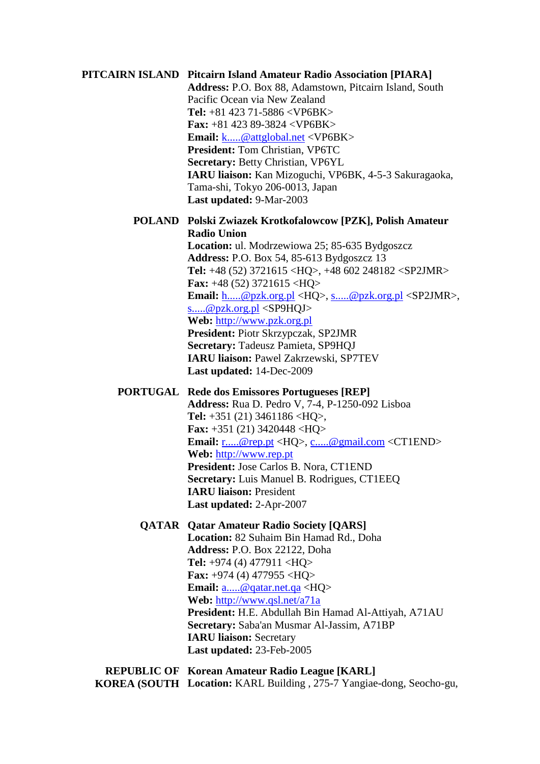# **PITCAIRN ISLAND Pitcairn Island Amateur Radio Association [PIARA] Address:** P.O. Box 88, Adamstown, Pitcairn Island, South Pacific Ocean via New Zealand **Tel:** +81 423 71-5886 <VP6BK> **Fax:** +81 423 89-3824 <VP6BK> **Email:** [k.....@attglobal.net](javascript:return%20false;) <VP6BK> **President:** Tom Christian, VP6TC **Secretary:** Betty Christian, VP6YL **IARU liaison:** Kan Mizoguchi, VP6BK, 4-5-3 Sakuragaoka, Tama-shi, Tokyo 206-0013, Japan **Last updated:** 9-Mar-2003 **POLAND Polski Zwiazek Krotkofalowcow [PZK], Polish Amateur Radio Union Location:** ul. Modrzewiowa 25; 85-635 Bydgoszcz **Address:** P.O. Box 54, 85-613 Bydgoszcz 13 **Tel:** +48 (52) 3721615 <HQ>, +48 602 248182 <SP2JMR> **Fax:** +48 (52) 3721615 <HQ> **Email:** [h.....@pzk.org.pl](javascript:return%20false;) <HQ>, [s.....@pzk.org.pl](javascript:return%20false;) <SP2JMR>, [s.....@pzk.org.pl](javascript:return%20false;) <SP9HQJ> **Web:** [http://www.pzk.org.pl](http://www.pzk.org.pl/) **President:** Piotr Skrzypczak, SP2JMR **Secretary:** Tadeusz Pamieta, SP9HQJ **IARU liaison:** Pawel Zakrzewski, SP7TEV **Last updated:** 14-Dec-2009 **PORTUGAL Rede dos Emissores Portugueses [REP] Address:** Rua D. Pedro V, 7-4, P-1250-092 Lisboa **Tel:** +351 (21) 3461186 <HQ>, **Fax:** +351 (21) 3420448 <HQ> **Email:** [r.....@rep.pt](javascript:return%20false;) <HQ>, [c.....@gmail.com](javascript:return%20false;) <CT1END> **Web:** [http://www.rep.pt](http://www.rep.pt/) **President:** Jose Carlos B. Nora, CT1END **Secretary:** Luis Manuel B. Rodrigues, CT1EEQ **IARU liaison:** President **Last updated:** 2-Apr-2007 **QATAR Qatar Amateur Radio Society [QARS] Location:** 82 Suhaim Bin Hamad Rd., Doha **Address:** P.O. Box 22122, Doha **Tel:** +974 (4) 477911 <HQ> **Fax:** +974 (4) 477955 <HQ> **Email:** [a.....@qatar.net.qa](javascript:return%20false;) <HQ> **Web:** <http://www.qsl.net/a71a> **President:** H.E. Abdullah Bin Hamad Al-Attiyah, A71AU **Secretary:** Saba'an Musmar Al-Jassim, A71BP **IARU liaison:** Secretary **Last updated:** 23-Feb-2005

**REPUBLIC OF Korean Amateur Radio League [KARL] KOREA (SOUTH Location:** KARL Building , 275-7 Yangiae-dong, Seocho-gu,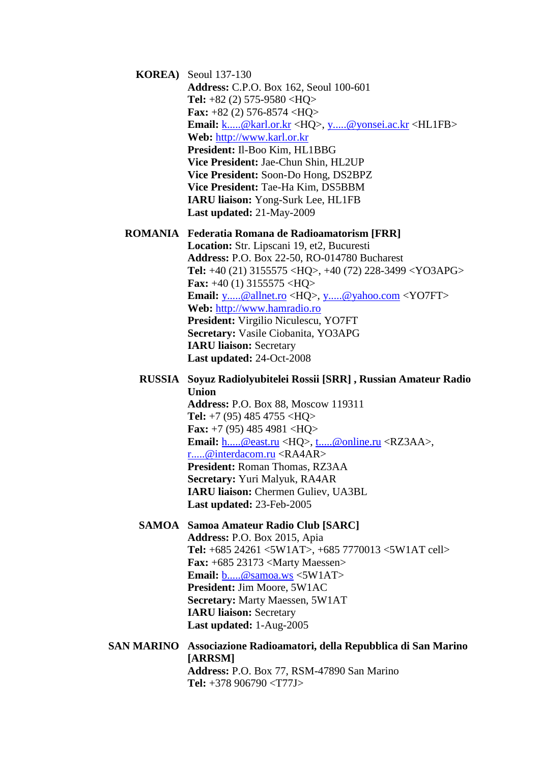**KOREA)** Seoul 137-130 **Address:** C.P.O. Box 162, Seoul 100-601 **Tel:** +82 (2) 575-9580 <HQ> **Fax:** +82 (2) 576-8574 <HQ> **Email:** [k.....@karl.or.kr](javascript:return%20false;) <HQ>, [y.....@yonsei.ac.kr](javascript:return%20false;) <HL1FB> **Web:** [http://www.karl.or.kr](http://www.karl.or.kr/) **President:** Il-Boo Kim, HL1BBG **Vice President:** Jae-Chun Shin, HL2UP **Vice President:** Soon-Do Hong, DS2BPZ **Vice President:** Tae-Ha Kim, DS5BBM **IARU liaison:** Yong-Surk Lee, HL1FB **Last updated:** 21-May-2009

# **ROMANIA Federatia Romana de Radioamatorism [FRR]**

**Location:** Str. Lipscani 19, et2, Bucuresti **Address:** P.O. Box 22-50, RO-014780 Bucharest **Tel:** +40 (21) 3155575 <HQ>, +40 (72) 228-3499 <YO3APG> **Fax:** +40 (1) 3155575 <HQ> **Email:** [y.....@allnet.ro](javascript:return%20false;) <HQ>, [y.....@yahoo.com](javascript:return%20false;) <YO7FT> **Web:** [http://www.hamradio.ro](http://www.hamradio.ro/) **President:** Virgilio Niculescu, YO7FT **Secretary:** Vasile Ciobanita, YO3APG **IARU liaison:** Secretary **Last updated:** 24-Oct-2008

**RUSSIA Soyuz Radiolyubitelei Rossii [SRR] , Russian Amateur Radio Union Address:** P.O. Box 88, Moscow 119311 **Tel:** +7 (95) 485 4755 <HQ> **Fax:** +7 (95) 485 4981 <HQ> **Email:** [h.....@east.ru](javascript:return%20false;) <HQ>, [t.....@online.ru](javascript:return%20false;) <RZ3AA>, [r.....@interdacom.ru](javascript:return%20false;) <RA4AR> **President:** Roman Thomas, RZ3AA **Secretary:** Yuri Malyuk, RA4AR **IARU liaison:** Chermen Guliev, UA3BL **Last updated:** 23-Feb-2005

**SAMOA Samoa Amateur Radio Club [SARC] Address:** P.O. Box 2015, Apia **Tel:** +685 24261 <5W1AT>, +685 7770013 <5W1AT cell> **Fax:** +685 23173 <Marty Maessen> **Email:** [b.....@samoa.ws](javascript:return%20false;) <5W1AT> **President:** Jim Moore, 5W1AC **Secretary:** Marty Maessen, 5W1AT **IARU liaison:** Secretary **Last updated:** 1-Aug-2005

**SAN MARINO Associazione Radioamatori, della Repubblica di San Marino [ARRSM] Address:** P.O. Box 77, RSM-47890 San Marino **Tel:** +378 906790 <T77J>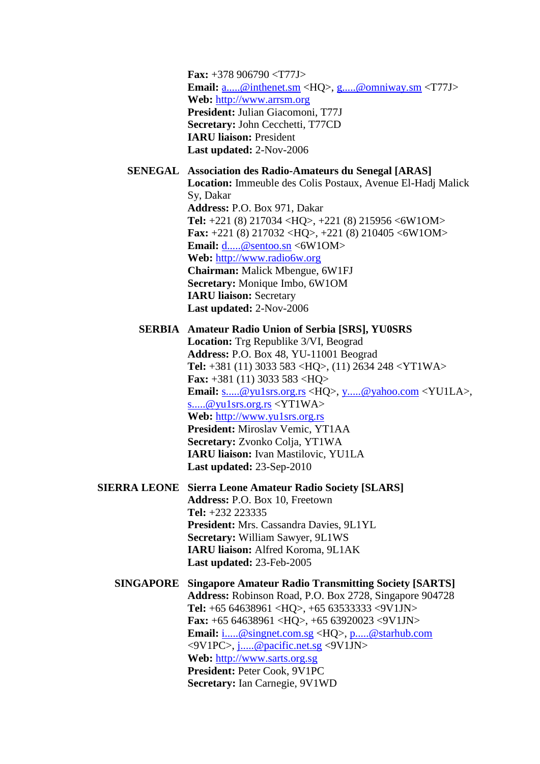**Fax:** +378 906790 <T77J> **Email:** [a.....@inthenet.sm](javascript:return%20false;) <HQ>, [g.....@omniway.sm](javascript:return%20false;) <T77J> **Web:** [http://www.arrsm.org](http://www.arrsm.org/) **President:** Julian Giacomoni, T77J **Secretary:** John Cecchetti, T77CD **IARU liaison:** President **Last updated:** 2-Nov-2006

#### **SENEGAL Association des Radio-Amateurs du Senegal [ARAS]**

**Location:** Immeuble des Colis Postaux, Avenue El-Hadj Malick Sy, Dakar **Address:** P.O. Box 971, Dakar **Tel:** +221 (8) 217034 <HQ>, +221 (8) 215956 <6W1OM> **Fax:** +221 (8) 217032 <HQ>, +221 (8) 210405 <6W1OM> **Email:** [d.....@sentoo.sn](javascript:return%20false;) <6W1OM> **Web:** [http://www.radio6w.org](http://www.radio6w.org/) **Chairman:** Malick Mbengue, 6W1FJ **Secretary:** Monique Imbo, 6W1OM **IARU liaison:** Secretary **Last updated:** 2-Nov-2006

#### **SERBIA Amateur Radio Union of Serbia [SRS], YU0SRS**

**Location:** Trg Republike 3/VI, Beograd **Address:** P.O. Box 48, YU-11001 Beograd **Tel:** +381 (11) 3033 583 <HQ>, (11) 2634 248 <YT1WA> **Fax:** +381 (11) 3033 583 <HQ> **Email:** [s.....@yu1srs.org.rs](javascript:return%20false;) <HQ>, [y.....@yahoo.com](javascript:return%20false;) <YU1LA>, [s.....@yu1srs.org.rs](javascript:return%20false;) <YT1WA> **Web:** [http://www.yu1srs.org.rs](http://www.yu1srs.org.rs/) **President:** Miroslav Vemic, YT1AA **Secretary:** Zvonko Colja, YT1WA **IARU liaison:** Ivan Mastilovic, YU1LA **Last updated:** 23-Sep-2010

**SIERRA LEONE Sierra Leone Amateur Radio Society [SLARS] Address:** P.O. Box 10, Freetown **Tel:** +232 223335 **President:** Mrs. Cassandra Davies, 9L1YL **Secretary:** William Sawyer, 9L1WS **IARU liaison:** Alfred Koroma, 9L1AK **Last updated:** 23-Feb-2005

**SINGAPORE Singapore Amateur Radio Transmitting Society [SARTS] Address:** Robinson Road, P.O. Box 2728, Singapore 904728 **Tel:** +65 64638961 <HQ>, +65 63533333 <9V1JN> **Fax:** +65 64638961 <HQ>, +65 63920023 <9V1JN> **Email:** [i.....@singnet.com.sg](javascript:return%20false;) <HQ>, [p.....@starhub.com](javascript:return%20false;) <9V1PC>, [j.....@pacific.net.sg](javascript:return%20false;) <9V1JN> **Web:** [http://www.sarts.org.sg](http://www.sarts.org.sg/) **President:** Peter Cook, 9V1PC **Secretary:** Ian Carnegie, 9V1WD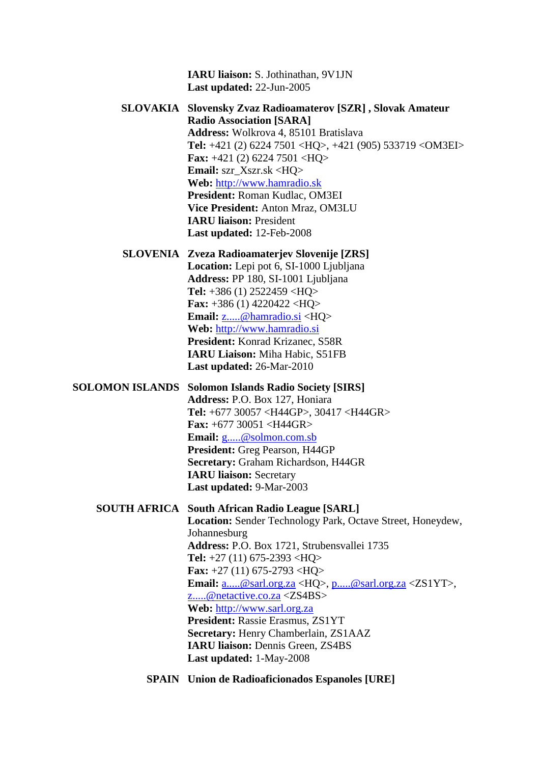**IARU liaison:** S. Jothinathan, 9V1JN **Last updated:** 22-Jun-2005

**SLOVAKIA Slovensky Zvaz Radioamaterov [SZR] , Slovak Amateur Radio Association [SARA] Address:** Wolkrova 4, 85101 Bratislava **Tel:** +421 (2) 6224 7501 <HQ>, +421 (905) 533719 <OM3EI> **Fax:** +421 (2) 6224 7501 <HQ> **Email:** szr\_Xszr.sk <HQ> **Web:** [http://www.hamradio.sk](http://www.hamradio.sk/) **President:** Roman Kudlac, OM3EI **Vice President:** Anton Mraz, OM3LU **IARU liaison:** President **Last updated:** 12-Feb-2008

**SLOVENIA Zveza Radioamaterjev Slovenije [ZRS] Location:** Lepi pot 6, SI-1000 Ljubljana **Address:** PP 180, SI-1001 Ljubljana **Tel:** +386 (1) 2522459 <HQ> **Fax:** +386 (1) 4220422 <HQ> **Email:** [z.....@hamradio.si](javascript:return%20false;) <HQ> **Web:** [http://www.hamradio.si](http://www.hamradio.si/) **President:** Konrad Krizanec, S58R **IARU Liaison:** Miha Habic, S51FB

**Last updated:** 26-Mar-2010

**SOLOMON ISLANDS Solomon Islands Radio Society [SIRS] Address:** P.O. Box 127, Honiara **Tel:** +677 30057 <H44GP>, 30417 <H44GR>

> **Fax:** +677 30051 <H44GR> **Email:** [g.....@solmon.com.sb](javascript:return%20false;) **President:** Greg Pearson, H44GP **Secretary:** Graham Richardson, H44GR **IARU liaison:** Secretary **Last updated:** 9-Mar-2003

**SOUTH AFRICA South African Radio League [SARL] Location:** Sender Technology Park, Octave Street, Honeydew, Johannesburg **Address:** P.O. Box 1721, Strubensvallei 1735 **Tel:** +27 (11) 675-2393 <HQ> **Fax:** +27 (11) 675-2793 <HQ> **Email:** [a.....@sarl.org.za](javascript:return%20false;) <HQ>, [p.....@sarl.org.za](javascript:return%20false;) <ZS1YT>, [z.....@netactive.co.za](javascript:return%20false;) <ZS4BS> **Web:** [http://www.sarl.org.za](http://www.sarl.org.za/) **President:** Rassie Erasmus, ZS1YT **Secretary:** Henry Chamberlain, ZS1AAZ **IARU liaison:** Dennis Green, ZS4BS **Last updated:** 1-May-2008

**SPAIN Union de Radioaficionados Espanoles [URE]**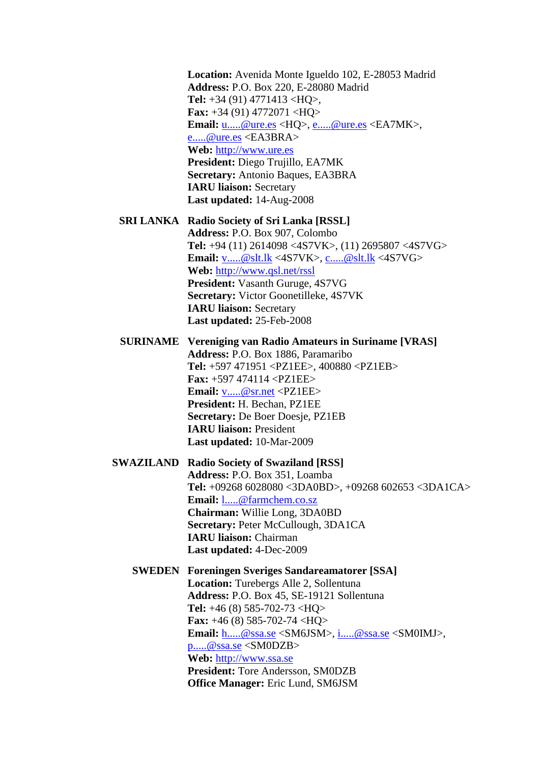**Location:** Avenida Monte Igueldo 102, E-28053 Madrid **Address:** P.O. Box 220, E-28080 Madrid **Tel:** +34 (91) 4771413 <HQ>, **Fax:** +34 (91) 4772071 <HQ> **Email:** [u.....@ure.es](javascript:return%20false;) <HQ>, [e.....@ure.es](javascript:return%20false;) <EA7MK>, [e.....@ure.es](javascript:return%20false;) <EA3BRA> **Web:** [http://www.ure.es](http://www.ure.es/) **President:** Diego Trujillo, EA7MK **Secretary:** Antonio Baques, EA3BRA **IARU liaison:** Secretary **Last updated:** 14-Aug-2008

**SRI LANKA Radio Society of Sri Lanka [RSSL] Address:** P.O. Box 907, Colombo **Tel:** +94 (11) 2614098 <4S7VK>, (11) 2695807 <4S7VG> **Email:** [v.....@slt.lk](javascript:return%20false;) <4S7VK>, [c.....@slt.lk](javascript:return%20false;) <4S7VG> **Web:** <http://www.qsl.net/rssl> **President:** Vasanth Guruge, 4S7VG **Secretary:** Victor Goonetilleke, 4S7VK **IARU liaison:** Secretary **Last updated:** 25-Feb-2008

**SURINAME Vereniging van Radio Amateurs in Suriname [VRAS] Address:** P.O. Box 1886, Paramaribo **Tel:** +597 471951 <PZ1EE>, 400880 <PZ1EB> **Fax:** +597 474114 <PZ1EE> **Email:** [v.....@sr.net](javascript:return%20false;) <PZ1EE> **President:** H. Bechan, PZ1EE **Secretary:** De Boer Doesje, PZ1EB **IARU liaison:** President **Last updated:** 10-Mar-2009

**SWAZILAND Radio Society of Swaziland [RSS] Address:** P.O. Box 351, Loamba **Tel:** +09268 6028080 <3DA0BD>, +09268 602653 <3DA1CA> **Email:** [l.....@farmchem.co.sz](javascript:return%20false;) **Chairman:** Willie Long, 3DA0BD **Secretary: Peter McCullough, 3DA1CA IARU liaison:** Chairman **Last updated:** 4-Dec-2009

**SWEDEN Foreningen Sveriges Sandareamatorer [SSA] Location:** Turebergs Alle 2, Sollentuna **Address:** P.O. Box 45, SE-19121 Sollentuna **Tel:** +46 (8) 585-702-73 <HQ> **Fax:** +46 (8) 585-702-74 <HQ> **Email:** [h.....@ssa.se](javascript:return%20false;) <SM6JSM>, [i.....@ssa.se](javascript:return%20false;) <SM0IMJ>, [p.....@ssa.se](javascript:return%20false;) <SM0DZB> **Web:** [http://www.ssa.se](http://www.ssa.se/) **President:** Tore Andersson, SM0DZB **Office Manager:** Eric Lund, SM6JSM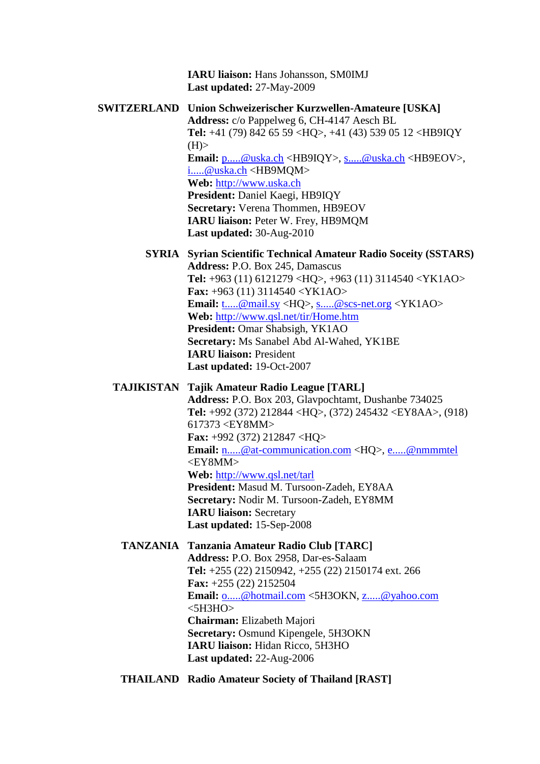**IARU liaison:** Hans Johansson, SM0IMJ **Last updated:** 27-May-2009

**SWITZERLAND Union Schweizerischer Kurzwellen-Amateure [USKA] Address:** c/o Pappelweg 6, CH-4147 Aesch BL **Tel:** +41 (79) 842 65 59 <HQ>, +41 (43) 539 05 12 <HB9IQY  $(H)$ **Email:** [p.....@uska.ch](javascript:return%20false;) <HB9IQY>, [s.....@uska.ch](javascript:return%20false;) <HB9EOV>, [i.....@uska.ch](javascript:return%20false;) <HB9MQM> **Web:** [http://www.uska.ch](http://www.uska.ch/) **President:** Daniel Kaegi, HB9IQY **Secretary:** Verena Thommen, HB9EOV **IARU liaison:** Peter W. Frey, HB9MQM **Last updated:** 30-Aug-2010

**SYRIA Syrian Scientific Technical Amateur Radio Soceity (SSTARS) Address:** P.O. Box 245, Damascus **Tel:** +963 (11) 6121279 <HQ>, +963 (11) 3114540 <YK1AO> **Fax:** +963 (11) 3114540 <YK1AO> **Email:** [t.....@mail.sy](javascript:return%20false;) <HQ>, [s.....@scs-net.org](javascript:return%20false;) <YK1AO> **Web:** <http://www.qsl.net/tir/Home.htm> **President:** Omar Shabsigh, YK1AO **Secretary:** Ms Sanabel Abd Al-Wahed, YK1BE **IARU liaison:** President **Last updated:** 19-Oct-2007

#### **TAJIKISTAN Tajik Amateur Radio League [TARL]**

**Address:** P.O. Box 203, Glavpochtamt, Dushanbe 734025 **Tel:** +992 (372) 212844 <HQ>, (372) 245432 <EY8AA>, (918) 617373 <EY8MM> **Fax:** +992 (372) 212847 <HQ> **Email:** [n.....@at-communication.com](javascript:return%20false;) <HQ>, [e.....@nmmmtel](javascript:return%20false;) <EY8MM> **Web:** <http://www.qsl.net/tarl> **President:** Masud M. Tursoon-Zadeh, EY8AA **Secretary:** Nodir M. Tursoon-Zadeh, EY8MM **IARU liaison:** Secretary **Last updated:** 15-Sep-2008

# **TANZANIA Tanzania Amateur Radio Club [TARC] Address:** P.O. Box 2958, Dar-es-Salaam **Tel:** +255 (22) 2150942, +255 (22) 2150174 ext. 266 **Fax:** +255 (22) 2152504 **Email:** [o.....@hotmail.com](javascript:return%20false;) <5H3OKN, [z.....@yahoo.com](javascript:return%20false;)  $<$ 5H3HO $>$ **Chairman:** Elizabeth Majori **Secretary:** Osmund Kipengele, 5H3OKN **IARU liaison:** Hidan Ricco, 5H3HO **Last updated:** 22-Aug-2006

**THAILAND Radio Amateur Society of Thailand [RAST]**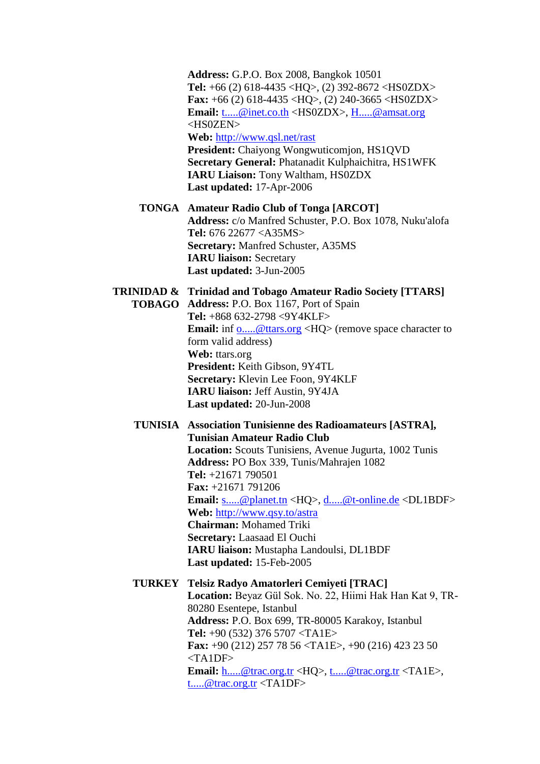**Address:** G.P.O. Box 2008, Bangkok 10501 **Tel:** +66 (2) 618-4435 <HQ>, (2) 392-8672 <HS0ZDX> **Fax:** +66 (2) 618-4435 <HQ>, (2) 240-3665 <HS0ZDX> **Email:** [t.....@inet.co.th](javascript:return%20false;) <HS0ZDX>, [H.....@amsat.org](javascript:return%20false;) <HS0ZEN>

**Web:** <http://www.qsl.net/rast>

**President:** Chaiyong Wongwuticomjon, HS1QVD **Secretary General:** Phatanadit Kulphaichitra, HS1WFK **IARU Liaison:** Tony Waltham, HS0ZDX **Last updated:** 17-Apr-2006

**TONGA Amateur Radio Club of Tonga [ARCOT] Address:** c/o Manfred Schuster, P.O. Box 1078, Nuku'alofa **Tel:** 676 22677 <A35MS> **Secretary:** Manfred Schuster, A35MS **IARU liaison:** Secretary **Last updated:** 3-Jun-2005

#### **TRINIDAD & Trinidad and Tobago Amateur Radio Society [TTARS]**

**TOBAGO Address:** P.O. Box 1167, Port of Spain **Tel:** +868 632-2798 <9Y4KLF> **Email:** inf [o.....@ttars.org](javascript:return%20false;) <HQ> (remove space character to form valid address) **Web:** ttars.org **President:** Keith Gibson, 9Y4TL **Secretary:** Klevin Lee Foon, 9Y4KLF **IARU liaison:** Jeff Austin, 9Y4JA **Last updated:** 20-Jun-2008

#### **TUNISIA Association Tunisienne des Radioamateurs [ASTRA], Tunisian Amateur Radio Club**

**Location:** Scouts Tunisiens, Avenue Jugurta, 1002 Tunis **Address:** PO Box 339, Tunis/Mahrajen 1082 **Tel:** +21671 790501 **Fax:** +21671 791206 **Email:** [s.....@planet.tn](javascript:return%20false;) <HQ>, [d.....@t-online.de](javascript:return%20false;) <DL1BDF> **Web:** <http://www.qsy.to/astra> **Chairman:** Mohamed Triki **Secretary:** Laasaad El Ouchi **IARU liaison:** Mustapha Landoulsi, DL1BDF **Last updated:** 15-Feb-2005

#### **TURKEY Telsiz Radyo Amatorleri Cemiyeti [TRAC]**

**Location:** Beyaz Gül Sok. No. 22, Hiimi Hak Han Kat 9, TR-80280 Esentepe, Istanbul **Address:** P.O. Box 699, TR-80005 Karakoy, Istanbul **Tel:** +90 (532) 376 5707 <TA1E> **Fax:** +90 (212) 257 78 56 <TA1E>, +90 (216) 423 23 50  $<$ TA1DF $>$ **Email:** [h.....@trac.org.tr](javascript:return%20false;) <HQ>, [t.....@trac.org.tr](javascript:return%20false;) <TA1E>, [t.....@trac.org.tr](javascript:return%20false;) <TA1DF>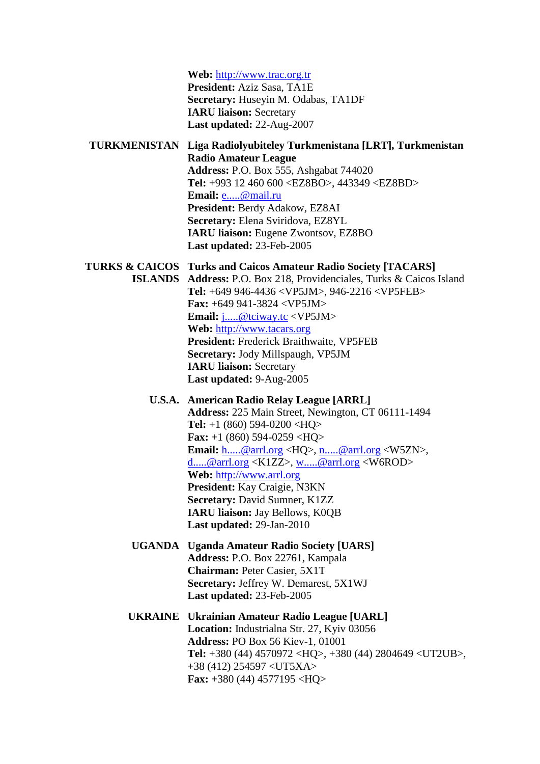**Web:** [http://www.trac.org.tr](http://www.trac.org.tr/) **President:** Aziz Sasa, TA1E **Secretary:** Huseyin M. Odabas, TA1DF **IARU liaison:** Secretary **Last updated:** 22-Aug-2007

# **TURKMENISTAN Liga Radiolyubiteley Turkmenistana [LRT], Turkmenistan Radio Amateur League Address:** P.O. Box 555, Ashgabat 744020 **Tel:** +993 12 460 600 <EZ8BO>, 443349 <EZ8BD> **Email:** [e.....@mail.ru](javascript:return%20false;) **President:** Berdy Adakow, EZ8AI **Secretary:** Elena Sviridova, EZ8YL **IARU liaison:** Eugene Zwontsov, EZ8BO **Last updated:** 23-Feb-2005

#### **TURKS & CAICOS Turks and Caicos Amateur Radio Society [TACARS]**

**ISLANDS Address:** P.O. Box 218, Providenciales, Turks & Caicos Island **Tel:** +649 946-4436 <VP5JM>, 946-2216 <VP5FEB> **Fax:** +649 941-3824 <VP5JM> **Email:** [j.....@tciway.tc](javascript:return%20false;) <VP5JM> **Web:** [http://www.tacars.org](http://www.tacars.org/) **President:** Frederick Braithwaite, VP5FEB **Secretary:** Jody Millspaugh, VP5JM **IARU liaison:** Secretary **Last updated:** 9-Aug-2005

# **U.S.A. American Radio Relay League [ARRL] Address:** 225 Main Street, Newington, CT 06111-1494 **Tel:** +1 (860) 594-0200 <HQ> **Fax:** +1 (860) 594-0259 <HQ> **Email:** [h.....@arrl.org](javascript:return%20false;) <HQ>, [n.....@arrl.org](javascript:return%20false;) <W5ZN>, [d.....@arrl.org](javascript:return%20false;) <K1ZZ>, [w.....@arrl.org](javascript:return%20false;) <W6ROD> **Web:** [http://www.arrl.org](http://www.arrl.org/) **President:** Kay Craigie, N3KN **Secretary:** David Sumner, K1ZZ **IARU liaison:** Jay Bellows, K0QB **Last updated:** 29-Jan-2010

**UGANDA Uganda Amateur Radio Society [UARS] Address:** P.O. Box 22761, Kampala **Chairman:** Peter Casier, 5X1T **Secretary:** Jeffrey W. Demarest, 5X1WJ **Last updated:** 23-Feb-2005

## **UKRAINE Ukrainian Amateur Radio League [UARL] Location:** Industrialna Str. 27, Kyiv 03056 **Address:** PO Box 56 Kiev-1, 01001 **Tel:** +380 (44) 4570972 <HQ>, +380 (44) 2804649 <UT2UB>, +38 (412) 254597 <UT5XA> **Fax:** +380 (44) 4577195 <HQ>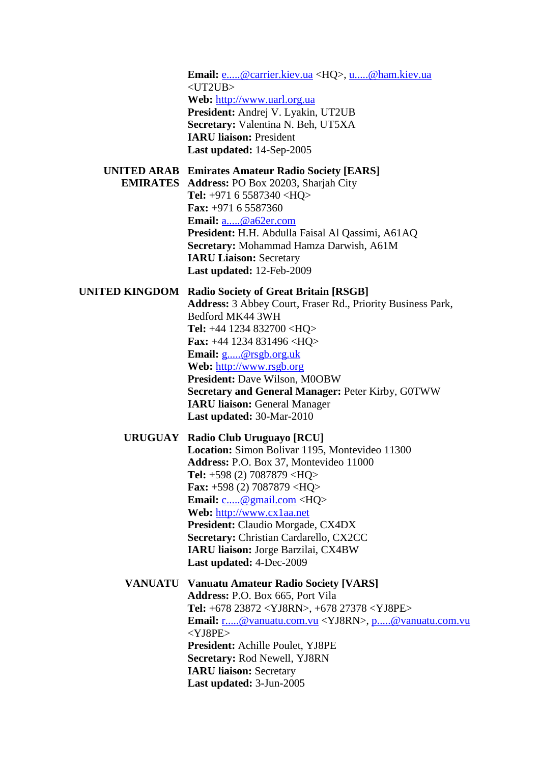**Email:** [e.....@carrier.kiev.ua](javascript:return%20false;) <HQ>, [u.....@ham.kiev.ua](javascript:return%20false;)  $<$ UT2UB $>$ **Web:** [http://www.uarl.org.ua](http://www.uarl.org.ua/) **President:** Andrej V. Lyakin, UT2UB **Secretary:** Valentina N. Beh, UT5XA **IARU liaison:** President **Last updated:** 14-Sep-2005

#### **UNITED ARAB Emirates Amateur Radio Society [EARS]**

**EMIRATES Address:** PO Box 20203, Sharjah City **Tel:** +971 6 5587340 <HQ> **Fax:** +971 6 5587360 **Email:** [a.....@a62er.com](javascript:return%20false;) **President:** H.H. Abdulla Faisal Al Qassimi, A61AQ **Secretary:** Mohammad Hamza Darwish, A61M **IARU Liaison:** Secretary **Last updated:** 12-Feb-2009

#### **UNITED KINGDOM Radio Society of Great Britain [RSGB]**

**Address:** 3 Abbey Court, Fraser Rd., Priority Business Park, Bedford MK44 3WH **Tel:** +44 1234 832700 <HQ> **Fax:** +44 1234 831496 <HQ> **Email:** [g.....@rsgb.org.uk](javascript:return%20false;) **Web:** [http://www.rsgb.org](http://www.rsgb.org/) **President:** Dave Wilson, M0OBW **Secretary and General Manager:** Peter Kirby, G0TWW **IARU liaison:** General Manager **Last updated:** 30-Mar-2010

## **URUGUAY Radio Club Uruguayo [RCU] Location:** Simon Bolivar 1195, Montevideo 11300 **Address:** P.O. Box 37, Montevideo 11000 **Tel:** +598 (2) 7087879 <HQ> **Fax:** +598 (2) 7087879 <HQ> **Email:** [c.....@gmail.com](javascript:return%20false;) <HQ> **Web:** [http://www.cx1aa.net](http://www.cx1aa.net/) **President:** Claudio Morgade, CX4DX **Secretary:** Christian Cardarello, CX2CC **IARU liaison:** Jorge Barzilai, CX4BW **Last updated:** 4-Dec-2009

## **VANUATU Vanuatu Amateur Radio Society [VARS] Address:** P.O. Box 665, Port Vila **Tel:** +678 23872 <YJ8RN>, +678 27378 <YJ8PE> **Email:** [r.....@vanuatu.com.vu](javascript:return%20false;) <YJ8RN>, [p.....@vanuatu.com.vu](javascript:return%20false;) <YJ8PE> **President:** Achille Poulet, YJ8PE **Secretary:** Rod Newell, YJ8RN **IARU liaison:** Secretary **Last updated:** 3-Jun-2005